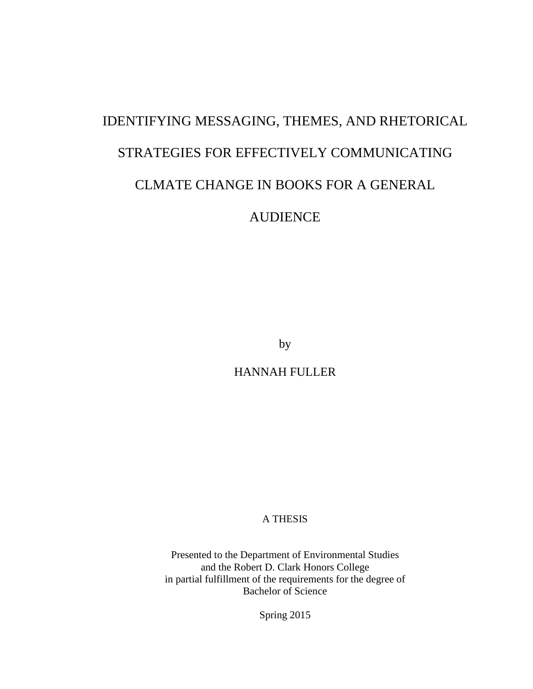# IDENTIFYING MESSAGING, THEMES, AND RHETORICAL STRATEGIES FOR EFFECTIVELY COMMUNICATING

### CLMATE CHANGE IN BOOKS FOR A GENERAL

AUDIENCE

by

HANNAH FULLER

A THESIS

Presented to the Department of Environmental Studies and the Robert D. Clark Honors College in partial fulfillment of the requirements for the degree of Bachelor of Science

Spring 2015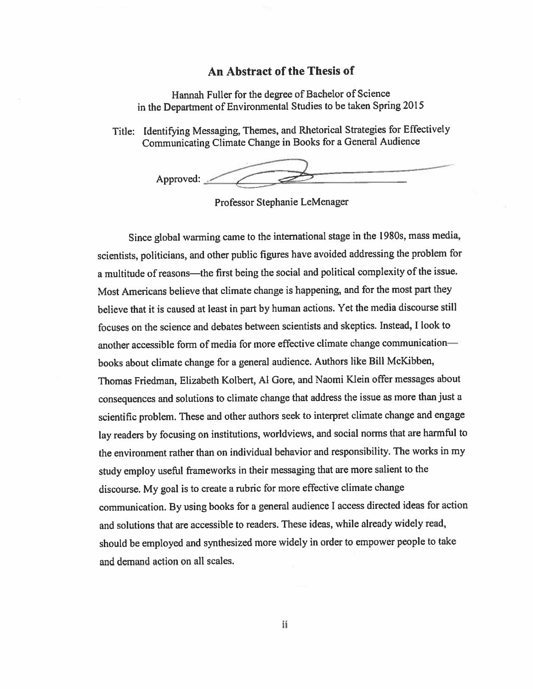#### An Abstract of the Thesis of

Hannah Fuller for the degree of Bachelor of Science in the Department of Environmental Studies to be taken Spring 2015

Title: Identifying Messaging, Themes, and Rhetorical Strategies for Effectively Communicating Climate Change in Books for a General Audience

Approved:

Professor Stephanie LeMenager

Since global warming came to the international stage in the 1980s, mass media, scientists, politicians, and other public figures have avoided addressing the problem for a multitude of reasons—the first being the social and political complexity of the issue. Most Americans believe that climate change is happening, and for the most part they believe that it is caused at least in part by human actions. Yet the media discourse still focuses on the science and debates between scientists and skeptics. Instead, I look to another accessible form of media for more effective climate change communicationbooks about climate change for a general audience. Authors like Bill McKibben, Thomas Friedman, Elizabeth Kolbert, Al Gore, and Naomi Klein offer messages about consequences and solutions to climate change that address the issue as more than just a scientific problem. These and other authors seek to interpret climate change and engage lay readers by focusing on institutions, worldviews, and social norms that are harmful to the environment rather than on individual behavior and responsibility. The works in my study employ useful frameworks in their messaging that are more salient to the discourse. My goal is to create a rubric for more effective climate change communication. By using books for a general audience I access directed ideas for action and solutions that are accessible to readers. These ideas, while already widely read, should be employed and synthesized more widely in order to empower people to take and demand action on all scales.

iί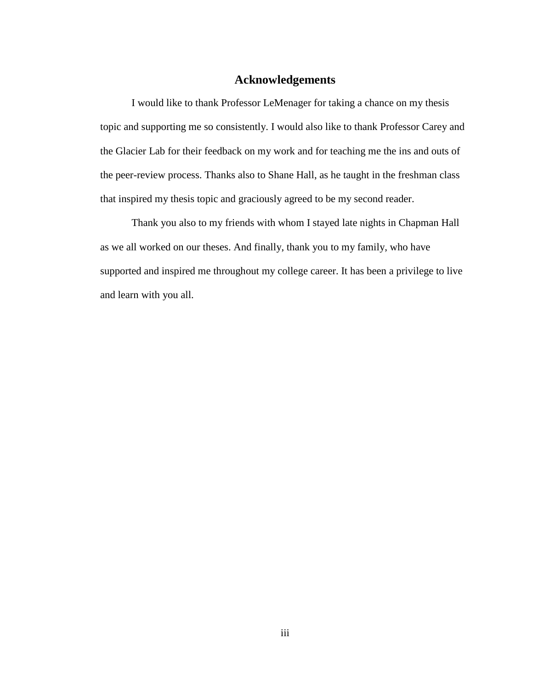#### **Acknowledgements**

I would like to thank Professor LeMenager for taking a chance on my thesis topic and supporting me so consistently. I would also like to thank Professor Carey and the Glacier Lab for their feedback on my work and for teaching me the ins and outs of the peer-review process. Thanks also to Shane Hall, as he taught in the freshman class that inspired my thesis topic and graciously agreed to be my second reader.

Thank you also to my friends with whom I stayed late nights in Chapman Hall as we all worked on our theses. And finally, thank you to my family, who have supported and inspired me throughout my college career. It has been a privilege to live and learn with you all.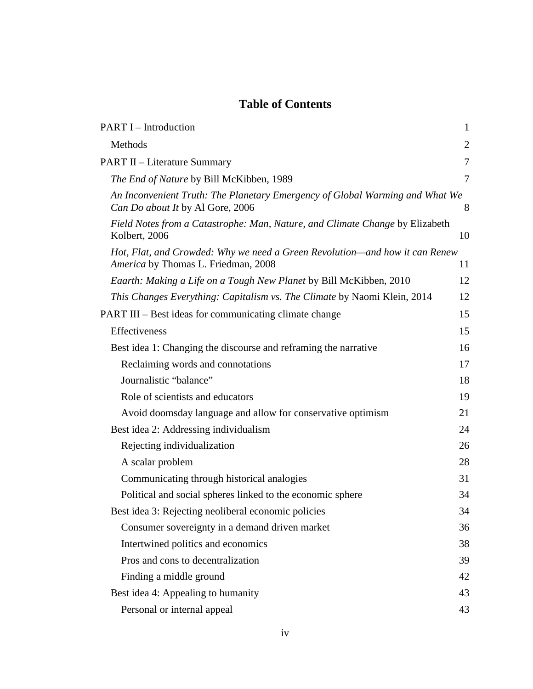### **Table of Contents**

| <b>PART I – Introduction</b>                                                                                       | $\mathbf{1}$   |
|--------------------------------------------------------------------------------------------------------------------|----------------|
| Methods                                                                                                            | $\overline{2}$ |
| <b>PART II – Literature Summary</b>                                                                                | $\overline{7}$ |
| The End of Nature by Bill McKibben, 1989                                                                           | 7              |
| An Inconvenient Truth: The Planetary Emergency of Global Warming and What We<br>Can Do about It by Al Gore, 2006   | 8              |
| Field Notes from a Catastrophe: Man, Nature, and Climate Change by Elizabeth<br>Kolbert, 2006                      | 10             |
| Hot, Flat, and Crowded: Why we need a Green Revolution—and how it can Renew<br>America by Thomas L. Friedman, 2008 | 11             |
| Eaarth: Making a Life on a Tough New Planet by Bill McKibben, 2010                                                 | 12             |
| This Changes Everything: Capitalism vs. The Climate by Naomi Klein, 2014                                           | 12             |
| PART III – Best ideas for communicating climate change                                                             | 15             |
| Effectiveness                                                                                                      | 15             |
| Best idea 1: Changing the discourse and reframing the narrative                                                    | 16             |
| Reclaiming words and connotations                                                                                  | 17             |
| Journalistic "balance"                                                                                             | 18             |
| Role of scientists and educators                                                                                   | 19             |
| Avoid doomsday language and allow for conservative optimism                                                        | 21             |
| Best idea 2: Addressing individualism                                                                              | 24             |
| Rejecting individualization                                                                                        | 26             |
| A scalar problem                                                                                                   | 28             |
| Communicating through historical analogies                                                                         | 31             |
| Political and social spheres linked to the economic sphere                                                         | 34             |
| Best idea 3: Rejecting neoliberal economic policies                                                                | 34             |
| Consumer sovereignty in a demand driven market                                                                     | 36             |
| Intertwined politics and economics                                                                                 | 38             |
| Pros and cons to decentralization                                                                                  | 39             |
| Finding a middle ground                                                                                            | 42             |
| Best idea 4: Appealing to humanity                                                                                 | 43             |
| Personal or internal appeal                                                                                        | 43             |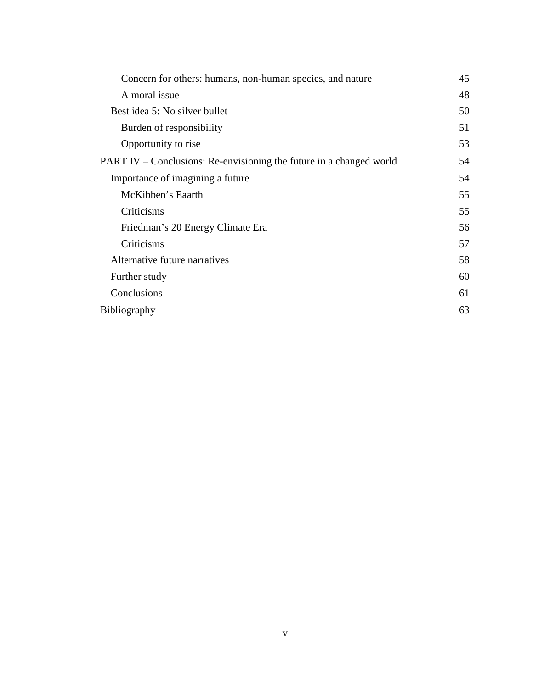| A moral issue<br>Best idea 5: No silver bullet<br>Burden of responsibility<br>Opportunity to rise | 45 |
|---------------------------------------------------------------------------------------------------|----|
|                                                                                                   | 48 |
|                                                                                                   | 50 |
|                                                                                                   | 51 |
|                                                                                                   | 53 |
| PART IV – Conclusions: Re-envisioning the future in a changed world                               | 54 |
| Importance of imagining a future                                                                  | 54 |
| McKibben's Eaarth                                                                                 | 55 |
| Criticisms                                                                                        | 55 |
| Friedman's 20 Energy Climate Era                                                                  | 56 |
| Criticisms                                                                                        | 57 |
| Alternative future narratives                                                                     | 58 |
| Further study                                                                                     | 60 |
| Conclusions                                                                                       | 61 |
| <b>Bibliography</b>                                                                               | 63 |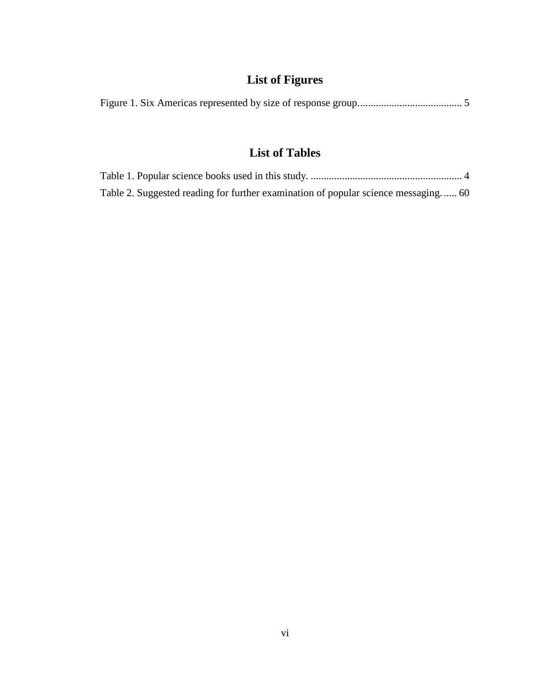# **List of Figures**

|--|--|--|--|--|--|

### **List of Tables**

| Table 2. Suggested reading for further examination of popular science messaging 60 |  |
|------------------------------------------------------------------------------------|--|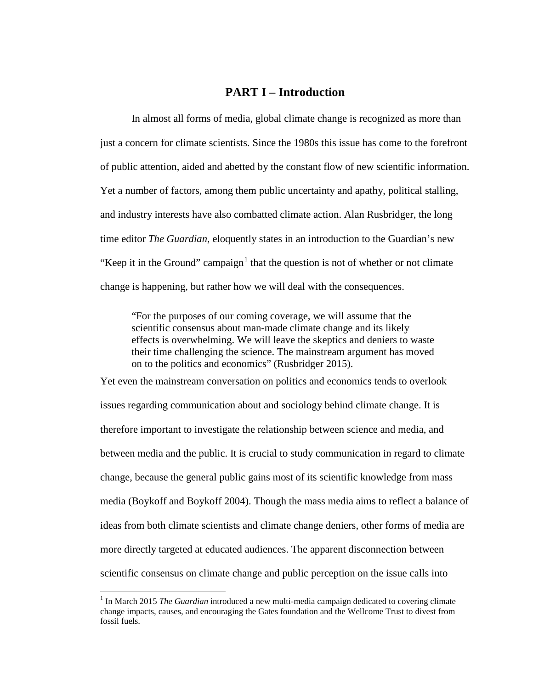#### **PART I – Introduction**

In almost all forms of media, global climate change is recognized as more than just a concern for climate scientists. Since the 1980s this issue has come to the forefront of public attention, aided and abetted by the constant flow of new scientific information. Yet a number of factors, among them public uncertainty and apathy, political stalling, and industry interests have also combatted climate action. Alan Rusbridger, the long time editor *The Guardian*, eloquently states in an introduction to the Guardian's new "Keep it in the Ground" campaign $<sup>1</sup>$  $<sup>1</sup>$  $<sup>1</sup>$  that the question is not of whether or not climate</sup> change is happening, but rather how we will deal with the consequences.

"For the purposes of our coming coverage, we will assume that the scientific consensus about man-made climate change and its likely effects is overwhelming. We will leave the skeptics and deniers to waste their time challenging the science. The mainstream argument has moved on to the politics and economics" [\(Rusbridger 2015\)](#page-70-0).

Yet even the mainstream conversation on politics and economics tends to overlook issues regarding communication about and sociology behind climate change. It is therefore important to investigate the relationship between science and media, and between media and the public. It is crucial to study communication in regard to climate change, because the general public gains most of its scientific knowledge from mass media (Boykoff and [Boykoff 2004\)](#page-68-0). Though the mass media aims to reflect a balance of ideas from both climate scientists and climate change deniers, other forms of media are more directly targeted at educated audiences. The apparent disconnection between scientific consensus on climate change and public perception on the issue calls into

<span id="page-6-0"></span><sup>1</sup> In March 2015 *The Guardian* introduced a new multi-media campaign dedicated to covering climate change impacts, causes, and encouraging the Gates foundation and the Wellcome Trust to divest from fossil fuels.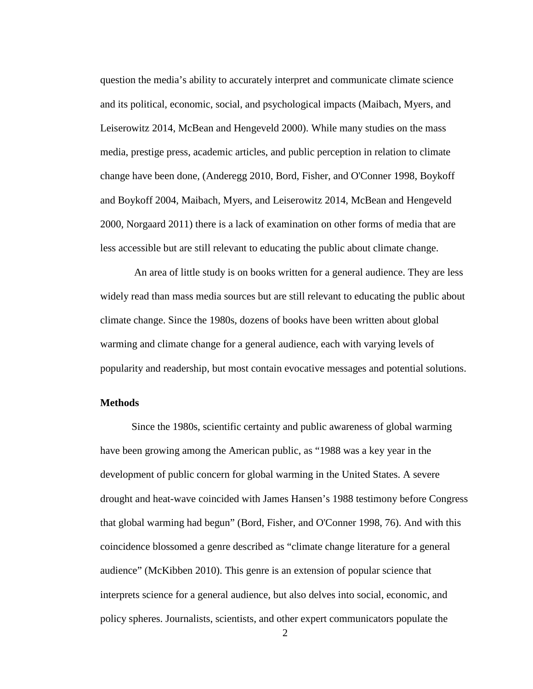question the media's ability to accurately interpret and communicate climate science and its political, economic, social, and psychological impacts [\(Maibach, Myers, and](#page-69-0)  [Leiserowitz 2014,](#page-69-0) [McBean and Hengeveld 2000\)](#page-70-1). While many studies on the mass media, prestige press, academic articles, and public perception in relation to climate change have been done, [\(Anderegg 2010,](#page-68-1) [Bord, Fisher, and O'Conner 1998,](#page-68-2) [Boykoff](#page-68-0)  [and Boykoff 2004,](#page-68-0) [Maibach, Myers, and Leiserowitz 2014,](#page-69-0) [McBean and Hengeveld](#page-70-1)  [2000,](#page-70-1) [Norgaard 2011\)](#page-70-2) there is a lack of examination on other forms of media that are less accessible but are still relevant to educating the public about climate change.

An area of little study is on books written for a general audience. They are less widely read than mass media sources but are still relevant to educating the public about climate change. Since the 1980s, dozens of books have been written about global warming and climate change for a general audience, each with varying levels of popularity and readership, but most contain evocative messages and potential solutions.

#### **Methods**

Since the 1980s, scientific certainty and public awareness of global warming have been growing among the American public, as "1988 was a key year in the development of public concern for global warming in the United States. A severe drought and heat-wave coincided with James Hansen's 1988 testimony before Congress that global warming had begun" [\(Bord, Fisher, and O'Conner 1998, 76\)](#page-68-2). And with this coincidence blossomed a genre described as "climate change literature for a general audience" [\(McKibben 2010\)](#page-70-3). This genre is an extension of popular science that interprets science for a general audience, but also delves into social, economic, and policy spheres. Journalists, scientists, and other expert communicators populate the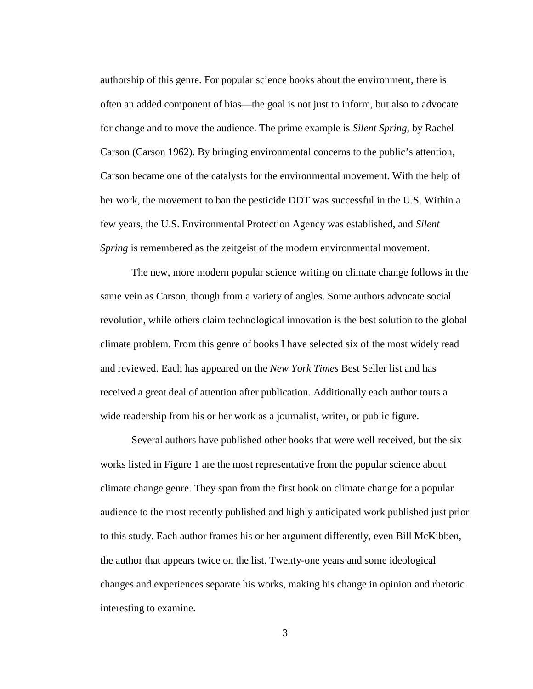authorship of this genre. For popular science books about the environment, there is often an added component of bias—the goal is not just to inform, but also to advocate for change and to move the audience. The prime example is *Silent Spring*, by Rachel Carson [\(Carson 1962\)](#page-68-3). By bringing environmental concerns to the public's attention, Carson became one of the catalysts for the environmental movement. With the help of her work, the movement to ban the pesticide DDT was successful in the U.S. Within a few years, the U.S. Environmental Protection Agency was established, and *Silent Spring* is remembered as the zeitgeist of the modern environmental movement.

The new, more modern popular science writing on climate change follows in the same vein as Carson, though from a variety of angles. Some authors advocate social revolution, while others claim technological innovation is the best solution to the global climate problem. From this genre of books I have selected six of the most widely read and reviewed. Each has appeared on the *New York Times* Best Seller list and has received a great deal of attention after publication. Additionally each author touts a wide readership from his or her work as a journalist, writer, or public figure.

Several authors have published other books that were well received, but the six works listed in Figure 1 are the most representative from the popular science about climate change genre. They span from the first book on climate change for a popular audience to the most recently published and highly anticipated work published just prior to this study. Each author frames his or her argument differently, even Bill McKibben, the author that appears twice on the list. Twenty-one years and some ideological changes and experiences separate his works, making his change in opinion and rhetoric interesting to examine.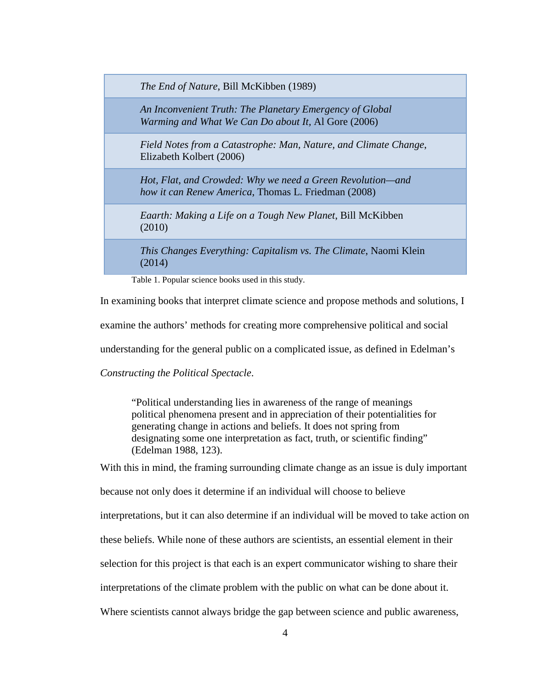*The End of Nature*, Bill McKibben (1989)

*An Inconvenient Truth: The Planetary Emergency of Global Warming and What We Can Do about It,* Al Gore (2006)

*Field Notes from a Catastrophe: Man, Nature, and Climate Change*, Elizabeth Kolbert (2006)

*Hot, Flat, and Crowded: Why we need a Green Revolution—and how it can Renew America*, Thomas L. Friedman (2008)

*Eaarth: Making a Life on a Tough New Planet*, Bill McKibben (2010)

*This Changes Everything: Capitalism vs. The Climate*, Naomi Klein (2014)

Table 1. Popular science books used in this study.

In examining books that interpret climate science and propose methods and solutions, I

examine the authors' methods for creating more comprehensive political and social

understanding for the general public on a complicated issue, as defined in Edelman's

*Constructing the Political Spectacle*.

"Political understanding lies in awareness of the range of meanings political phenomena present and in appreciation of their potentialities for generating change in actions and beliefs. It does not spring from designating some one interpretation as fact, truth, or scientific finding" [\(Edelman 1988, 123\)](#page-68-4).

With this in mind, the framing surrounding climate change as an issue is duly important

because not only does it determine if an individual will choose to believe

interpretations, but it can also determine if an individual will be moved to take action on

these beliefs. While none of these authors are scientists, an essential element in their

selection for this project is that each is an expert communicator wishing to share their

interpretations of the climate problem with the public on what can be done about it.

Where scientists cannot always bridge the gap between science and public awareness,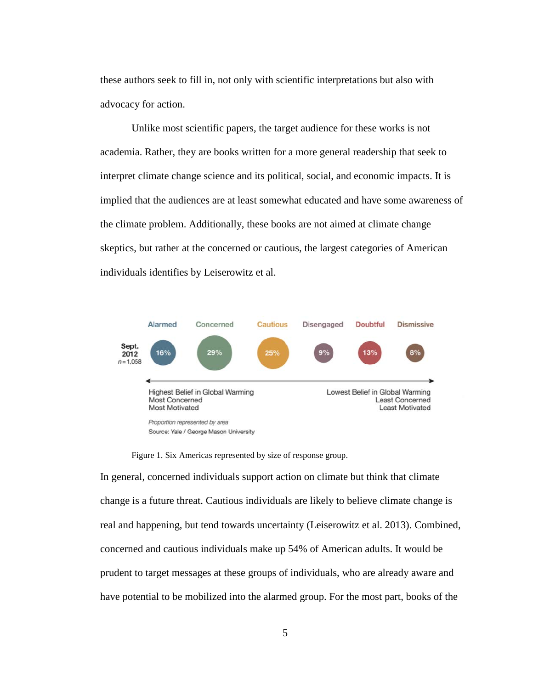these authors seek to fill in, not only with scientific interpretations but also with advocacy for action.

Unlike most scientific papers, the target audience for these works is not academia. Rather, they are books written for a more general readership that seek to interpret climate change science and its political, social, and economic impacts. It is implied that the audiences are at least somewhat educated and have some awareness of the climate problem. Additionally, these books are not aimed at climate change skeptics, but rather at the concerned or cautious, the largest categories of American individuals identifies by Leiserowitz et al.



Figure 1. Six Americas represented by size of response group.

In general, concerned individuals support action on climate but think that climate change is a future threat. Cautious individuals are likely to believe climate change is real and happening, but tend towards uncertainty [\(Leiserowitz et al. 2013\)](#page-69-1). Combined, concerned and cautious individuals make up 54% of American adults. It would be prudent to target messages at these groups of individuals, who are already aware and have potential to be mobilized into the alarmed group. For the most part, books of the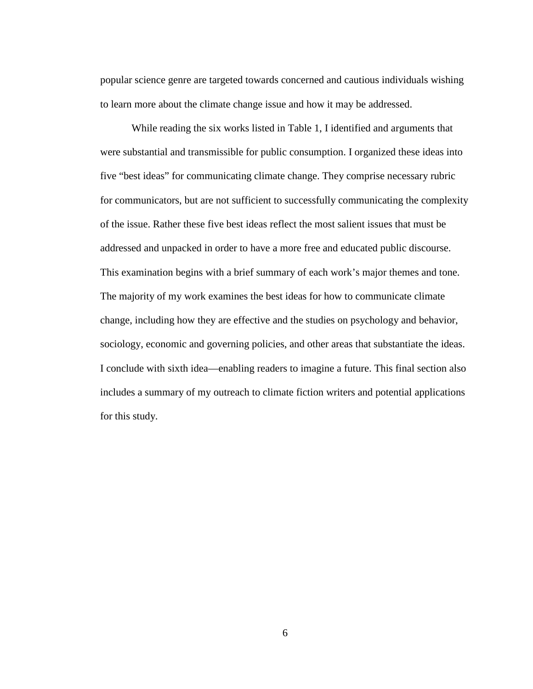popular science genre are targeted towards concerned and cautious individuals wishing to learn more about the climate change issue and how it may be addressed.

While reading the six works listed in Table 1, I identified and arguments that were substantial and transmissible for public consumption. I organized these ideas into five "best ideas" for communicating climate change. They comprise necessary rubric for communicators, but are not sufficient to successfully communicating the complexity of the issue. Rather these five best ideas reflect the most salient issues that must be addressed and unpacked in order to have a more free and educated public discourse. This examination begins with a brief summary of each work's major themes and tone. The majority of my work examines the best ideas for how to communicate climate change, including how they are effective and the studies on psychology and behavior, sociology, economic and governing policies, and other areas that substantiate the ideas. I conclude with sixth idea—enabling readers to imagine a future. This final section also includes a summary of my outreach to climate fiction writers and potential applications for this study.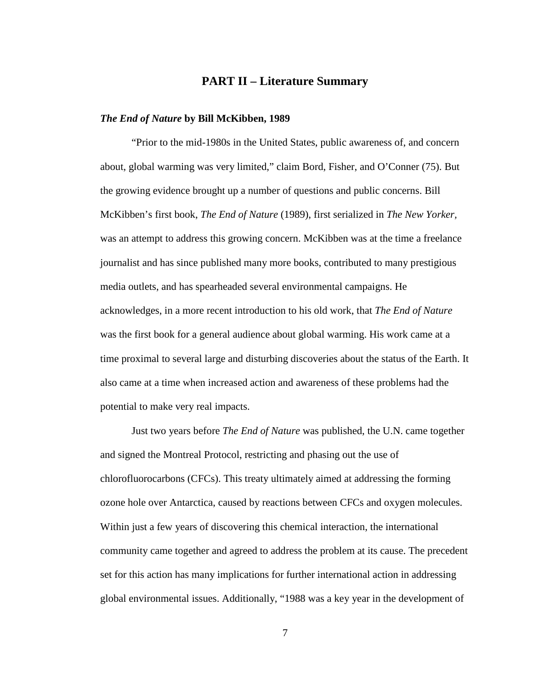#### **PART II – Literature Summary**

#### *The End of Nature* **by Bill McKibben, 1989**

"Prior to the mid-1980s in the United States, public awareness of, and concern about, global warming was very limited," claim Bord, Fisher, and O'Conner (75). But the growing evidence brought up a number of questions and public concerns. Bill McKibben's first book, *The End of Nature* (1989), first serialized in *The New Yorker,*  was an attempt to address this growing concern. McKibben was at the time a freelance journalist and has since published many more books, contributed to many prestigious media outlets, and has spearheaded several environmental campaigns. He acknowledges, in a more recent introduction to his old work, that *The End of Nature*  was the first book for a general audience about global warming. His work came at a time proximal to several large and disturbing discoveries about the status of the Earth. It also came at a time when increased action and awareness of these problems had the potential to make very real impacts.

Just two years before *The End of Nature* was published, the U.N. came together and signed the Montreal Protocol, restricting and phasing out the use of chlorofluorocarbons (CFCs). This treaty ultimately aimed at addressing the forming ozone hole over Antarctica, caused by reactions between CFCs and oxygen molecules. Within just a few years of discovering this chemical interaction, the international community came together and agreed to address the problem at its cause. The precedent set for this action has many implications for further international action in addressing global environmental issues. Additionally, "1988 was a key year in the development of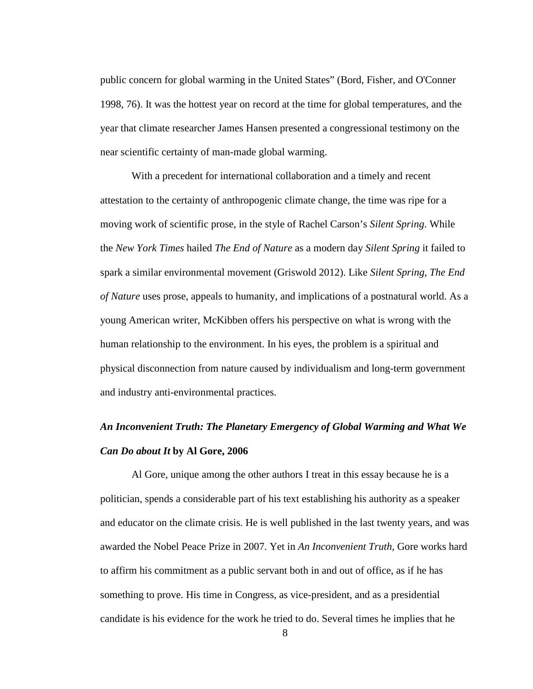public concern for global warming in the United States" [\(Bord, Fisher, and O'Conner](#page-68-2)  [1998, 76\)](#page-68-2). It was the hottest year on record at the time for global temperatures, and the year that climate researcher James Hansen presented a congressional testimony on the near scientific certainty of man-made global warming.

With a precedent for international collaboration and a timely and recent attestation to the certainty of anthropogenic climate change, the time was ripe for a moving work of scientific prose, in the style of Rachel Carson's *Silent Spring*. While the *New York Times* hailed *The End of Nature* as a modern day *Silent Spring* it failed to spark a similar environmental movement [\(Griswold 2012\)](#page-69-2). Like *Silent Spring*, *The End of Nature* uses prose, appeals to humanity, and implications of a postnatural world. As a young American writer, McKibben offers his perspective on what is wrong with the human relationship to the environment. In his eyes, the problem is a spiritual and physical disconnection from nature caused by individualism and long-term government and industry anti-environmental practices.

### *An Inconvenient Truth: The Planetary Emergency of Global Warming and What We Can Do about It* **by Al Gore, 2006**

Al Gore, unique among the other authors I treat in this essay because he is a politician, spends a considerable part of his text establishing his authority as a speaker and educator on the climate crisis. He is well published in the last twenty years, and was awarded the Nobel Peace Prize in 2007. Yet in *An Inconvenient Truth,* Gore works hard to affirm his commitment as a public servant both in and out of office, as if he has something to prove. His time in Congress, as vice-president, and as a presidential candidate is his evidence for the work he tried to do. Several times he implies that he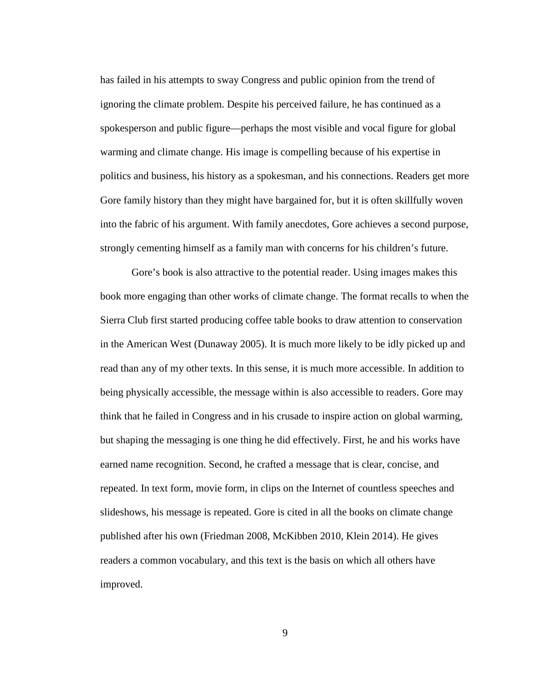has failed in his attempts to sway Congress and public opinion from the trend of ignoring the climate problem. Despite his perceived failure, he has continued as a spokesperson and public figure—perhaps the most visible and vocal figure for global warming and climate change. His image is compelling because of his expertise in politics and business, his history as a spokesman, and his connections. Readers get more Gore family history than they might have bargained for, but it is often skillfully woven into the fabric of his argument. With family anecdotes, Gore achieves a second purpose, strongly cementing himself as a family man with concerns for his children's future.

Gore's book is also attractive to the potential reader. Using images makes this book more engaging than other works of climate change. The format recalls to when the Sierra Club first started producing coffee table books to draw attention to conservation in the American West [\(Dunaway 2005\)](#page-68-5). It is much more likely to be idly picked up and read than any of my other texts. In this sense, it is much more accessible. In addition to being physically accessible, the message within is also accessible to readers. Gore may think that he failed in Congress and in his crusade to inspire action on global warming, but shaping the messaging is one thing he did effectively. First, he and his works have earned name recognition. Second, he crafted a message that is clear, concise, and repeated. In text form, movie form, in clips on the Internet of countless speeches and slideshows, his message is repeated. Gore is cited in all the books on climate change published after his own (Friedman 2008, McKibben 2010, Klein 2014). He gives readers a common vocabulary, and this text is the basis on which all others have improved.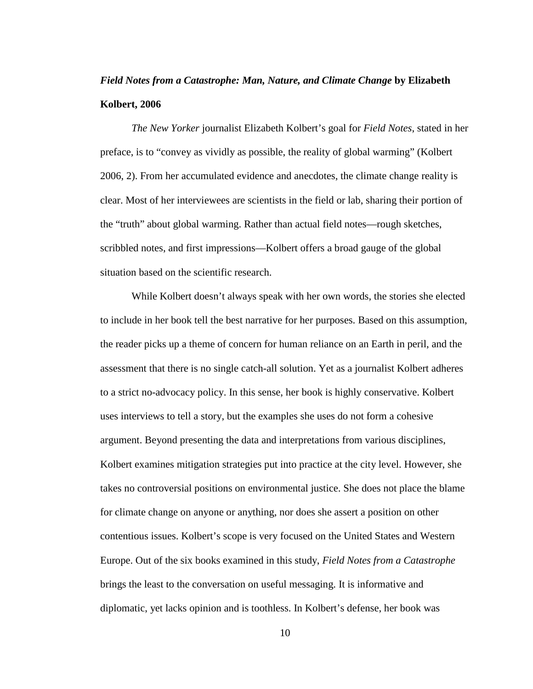### *Field Notes from a Catastrophe: Man, Nature, and Climate Change* **by Elizabeth Kolbert, 2006**

*The New Yorker* journalist Elizabeth Kolbert's goal for *Field Notes*, stated in her preface, is to "convey as vividly as possible, the reality of global warming" [\(Kolbert](#page-69-3)  [2006, 2\)](#page-69-3). From her accumulated evidence and anecdotes, the climate change reality is clear. Most of her interviewees are scientists in the field or lab, sharing their portion of the "truth" about global warming. Rather than actual field notes—rough sketches, scribbled notes, and first impressions—Kolbert offers a broad gauge of the global situation based on the scientific research.

While Kolbert doesn't always speak with her own words, the stories she elected to include in her book tell the best narrative for her purposes. Based on this assumption, the reader picks up a theme of concern for human reliance on an Earth in peril, and the assessment that there is no single catch-all solution. Yet as a journalist Kolbert adheres to a strict no-advocacy policy. In this sense, her book is highly conservative. Kolbert uses interviews to tell a story, but the examples she uses do not form a cohesive argument. Beyond presenting the data and interpretations from various disciplines, Kolbert examines mitigation strategies put into practice at the city level. However, she takes no controversial positions on environmental justice. She does not place the blame for climate change on anyone or anything, nor does she assert a position on other contentious issues. Kolbert's scope is very focused on the United States and Western Europe. Out of the six books examined in this study, *Field Notes from a Catastrophe* brings the least to the conversation on useful messaging. It is informative and diplomatic, yet lacks opinion and is toothless. In Kolbert's defense, her book was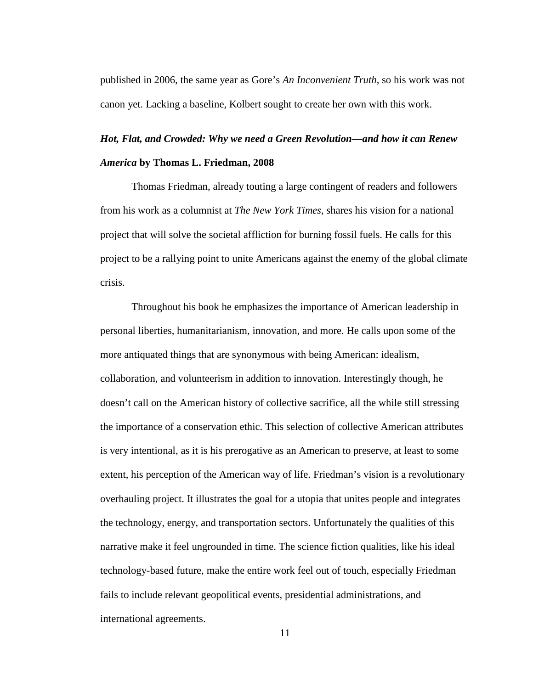published in 2006, the same year as Gore's *An Inconvenient Truth*, so his work was not canon yet. Lacking a baseline, Kolbert sought to create her own with this work.

# *Hot, Flat, and Crowded: Why we need a Green Revolution—and how it can Renew America* **by Thomas L. Friedman, 2008**

Thomas Friedman, already touting a large contingent of readers and followers from his work as a columnist at *The New York Times*, shares his vision for a national project that will solve the societal affliction for burning fossil fuels. He calls for this project to be a rallying point to unite Americans against the enemy of the global climate crisis.

Throughout his book he emphasizes the importance of American leadership in personal liberties, humanitarianism, innovation, and more. He calls upon some of the more antiquated things that are synonymous with being American: idealism, collaboration, and volunteerism in addition to innovation. Interestingly though, he doesn't call on the American history of collective sacrifice, all the while still stressing the importance of a conservation ethic. This selection of collective American attributes is very intentional, as it is his prerogative as an American to preserve, at least to some extent, his perception of the American way of life. Friedman's vision is a revolutionary overhauling project. It illustrates the goal for a utopia that unites people and integrates the technology, energy, and transportation sectors. Unfortunately the qualities of this narrative make it feel ungrounded in time. The science fiction qualities, like his ideal technology-based future, make the entire work feel out of touch, especially Friedman fails to include relevant geopolitical events, presidential administrations, and international agreements.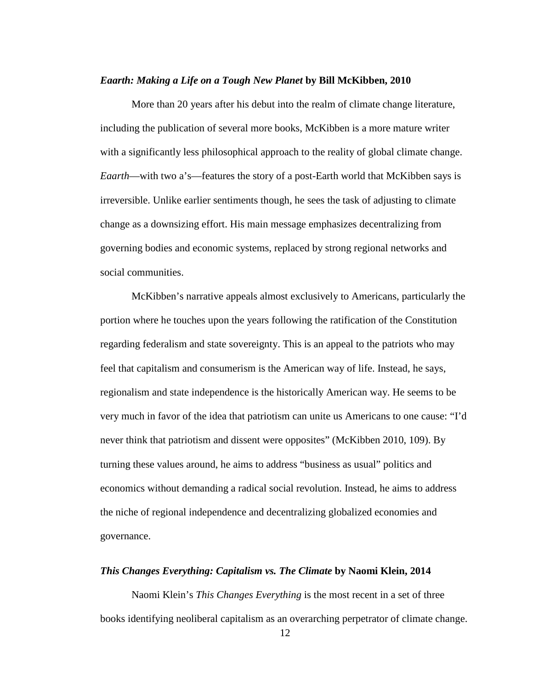#### *Eaarth: Making a Life on a Tough New Planet* **by Bill McKibben, 2010**

More than 20 years after his debut into the realm of climate change literature, including the publication of several more books, McKibben is a more mature writer with a significantly less philosophical approach to the reality of global climate change. *Eaarth*—with two a's—features the story of a post-Earth world that McKibben says is irreversible. Unlike earlier sentiments though, he sees the task of adjusting to climate change as a downsizing effort. His main message emphasizes decentralizing from governing bodies and economic systems, replaced by strong regional networks and social communities.

McKibben's narrative appeals almost exclusively to Americans, particularly the portion where he touches upon the years following the ratification of the Constitution regarding federalism and state sovereignty. This is an appeal to the patriots who may feel that capitalism and consumerism is the American way of life. Instead, he says, regionalism and state independence is the historically American way. He seems to be very much in favor of the idea that patriotism can unite us Americans to one cause: "I'd never think that patriotism and dissent were opposites" [\(McKibben 2010, 109\)](#page-70-3). By turning these values around, he aims to address "business as usual" politics and economics without demanding a radical social revolution. Instead, he aims to address the niche of regional independence and decentralizing globalized economies and governance.

#### *This Changes Everything: Capitalism vs. The Climate* **by Naomi Klein, 2014**

Naomi Klein's *This Changes Everything* is the most recent in a set of three books identifying neoliberal capitalism as an overarching perpetrator of climate change.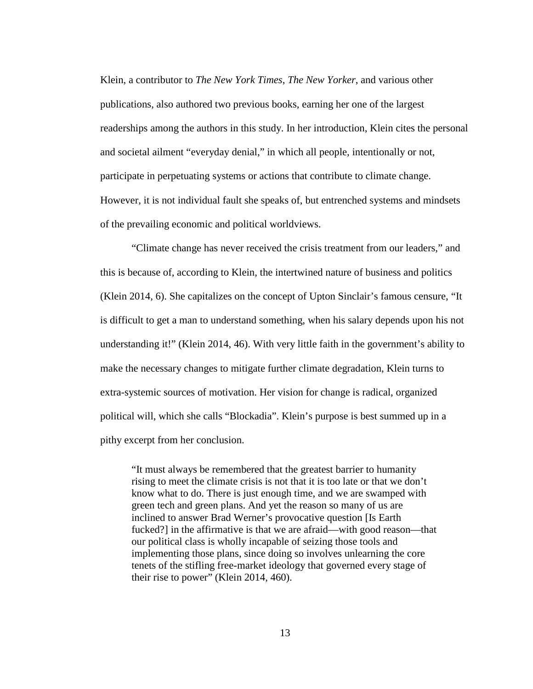Klein, a contributor to *The New York Times*, *The New Yorker*, and various other publications, also authored two previous books, earning her one of the largest readerships among the authors in this study. In her introduction, Klein cites the personal and societal ailment "everyday denial," in which all people, intentionally or not, participate in perpetuating systems or actions that contribute to climate change. However, it is not individual fault she speaks of, but entrenched systems and mindsets of the prevailing economic and political worldviews.

"Climate change has never received the crisis treatment from our leaders," and this is because of, according to Klein, the intertwined nature of business and politics [\(Klein 2014, 6\)](#page-69-4). She capitalizes on the concept of Upton Sinclair's famous censure, "It is difficult to get a man to understand something, when his salary depends upon his not understanding it!" [\(Klein 2014, 46\)](#page-69-4). With very little faith in the government's ability to make the necessary changes to mitigate further climate degradation, Klein turns to extra-systemic sources of motivation. Her vision for change is radical, organized political will, which she calls "Blockadia". Klein's purpose is best summed up in a pithy excerpt from her conclusion.

"It must always be remembered that the greatest barrier to humanity rising to meet the climate crisis is not that it is too late or that we don't know what to do. There is just enough time, and we are swamped with green tech and green plans. And yet the reason so many of us are inclined to answer Brad Werner's provocative question [Is Earth fucked?] in the affirmative is that we are afraid—with good reason—that our political class is wholly incapable of seizing those tools and implementing those plans, since doing so involves unlearning the core tenets of the stifling free-market ideology that governed every stage of their rise to power" [\(Klein 2014, 460\)](#page-69-4).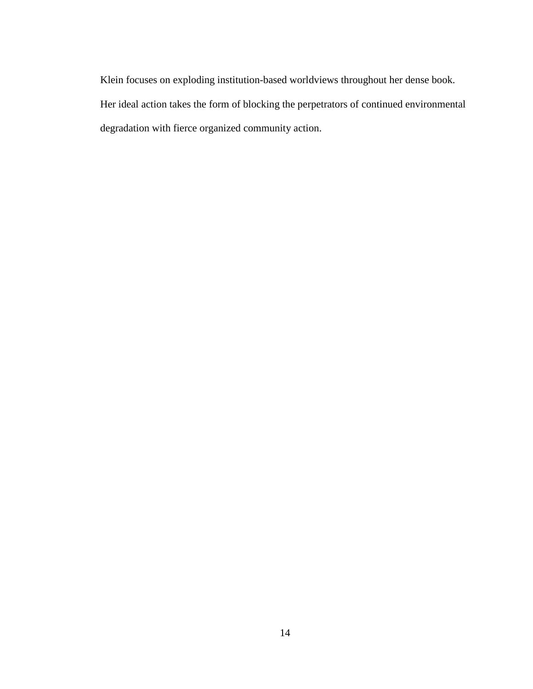Klein focuses on exploding institution-based worldviews throughout her dense book. Her ideal action takes the form of blocking the perpetrators of continued environmental degradation with fierce organized community action.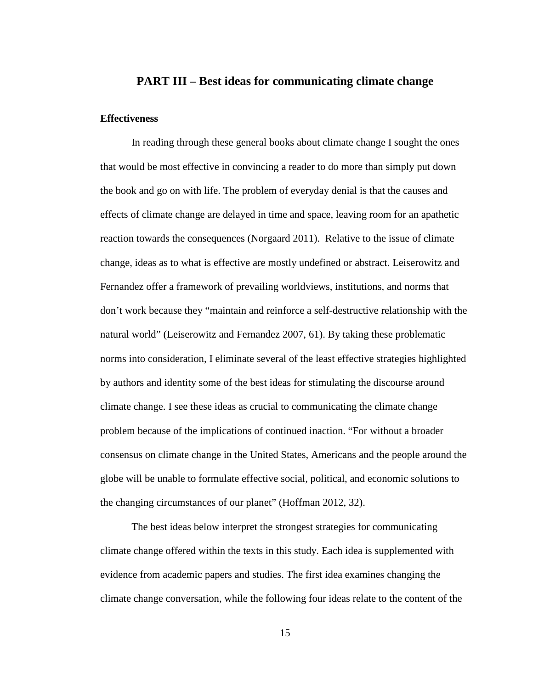#### **PART III – Best ideas for communicating climate change**

#### **Effectiveness**

In reading through these general books about climate change I sought the ones that would be most effective in convincing a reader to do more than simply put down the book and go on with life. The problem of everyday denial is that the causes and effects of climate change are delayed in time and space, leaving room for an apathetic reaction towards the consequences [\(Norgaard 2011\)](#page-70-2). Relative to the issue of climate change, ideas as to what is effective are mostly undefined or abstract. Leiserowitz and Fernandez offer a framework of prevailing worldviews, institutions, and norms that don't work because they "maintain and reinforce a self-destructive relationship with the natural world" [\(Leiserowitz and Fernandez 2007, 61\)](#page-69-5). By taking these problematic norms into consideration, I eliminate several of the least effective strategies highlighted by authors and identity some of the best ideas for stimulating the discourse around climate change. I see these ideas as crucial to communicating the climate change problem because of the implications of continued inaction. "For without a broader consensus on climate change in the United States, Americans and the people around the globe will be unable to formulate effective social, political, and economic solutions to the changing circumstances of our planet" [\(Hoffman 2012, 32\)](#page-69-6).

The best ideas below interpret the strongest strategies for communicating climate change offered within the texts in this study. Each idea is supplemented with evidence from academic papers and studies. The first idea examines changing the climate change conversation, while the following four ideas relate to the content of the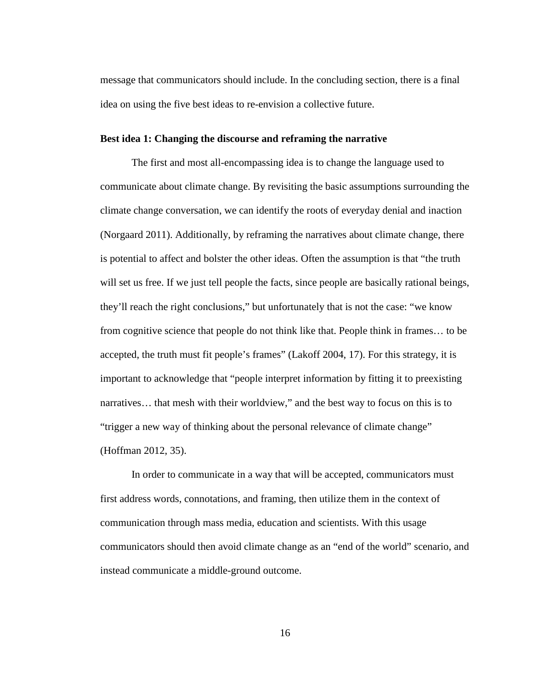message that communicators should include. In the concluding section, there is a final idea on using the five best ideas to re-envision a collective future.

#### **Best idea 1: Changing the discourse and reframing the narrative**

The first and most all-encompassing idea is to change the language used to communicate about climate change. By revisiting the basic assumptions surrounding the climate change conversation, we can identify the roots of everyday denial and inaction [\(Norgaard 2011\)](#page-70-2). Additionally, by reframing the narratives about climate change, there is potential to affect and bolster the other ideas. Often the assumption is that "the truth will set us free. If we just tell people the facts, since people are basically rational beings, they'll reach the right conclusions," but unfortunately that is not the case: "we know from cognitive science that people do not think like that. People think in frames… to be accepted, the truth must fit people's frames" [\(Lakoff 2004, 17\)](#page-69-7). For this strategy, it is important to acknowledge that "people interpret information by fitting it to preexisting narratives… that mesh with their worldview," and the best way to focus on this is to "trigger a new way of thinking about the personal relevance of climate change" [\(Hoffman 2012, 35\)](#page-69-6).

In order to communicate in a way that will be accepted, communicators must first address words, connotations, and framing, then utilize them in the context of communication through mass media, education and scientists. With this usage communicators should then avoid climate change as an "end of the world" scenario, and instead communicate a middle-ground outcome.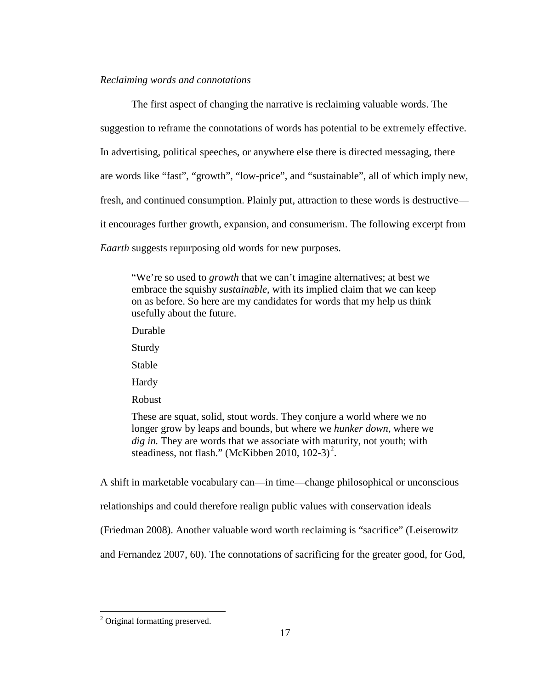#### *Reclaiming words and connotations*

The first aspect of changing the narrative is reclaiming valuable words. The suggestion to reframe the connotations of words has potential to be extremely effective. In advertising, political speeches, or anywhere else there is directed messaging, there are words like "fast", "growth", "low-price", and "sustainable", all of which imply new, fresh, and continued consumption. Plainly put, attraction to these words is destructive it encourages further growth, expansion, and consumerism. The following excerpt from *Eaarth* suggests repurposing old words for new purposes.

"We're so used to *growth* that we can't imagine alternatives; at best we embrace the squishy *sustainable*, with its implied claim that we can keep on as before. So here are my candidates for words that my help us think usefully about the future.

Durable

Sturdy

Stable

Hardy

Robust

These are squat, solid, stout words. They conjure a world where we no longer grow by leaps and bounds, but where we *hunker down*, where we *dig in.* They are words that we associate with maturity, not youth; with steadiness, not flash." [\(McKibben 2010, 102-3\)](#page-70-3)<sup>[2](#page-22-0)</sup>.

A shift in marketable vocabulary can—in time—change philosophical or unconscious

relationships and could therefore realign public values with conservation ideals

[\(Friedman 2008\)](#page-68-6). Another valuable word worth reclaiming is "sacrifice" [\(Leiserowitz](#page-69-5) 

[and Fernandez 2007, 60\)](#page-69-5). The connotations of sacrificing for the greater good, for God,

<span id="page-22-0"></span><sup>&</sup>lt;sup>2</sup> Original formatting preserved.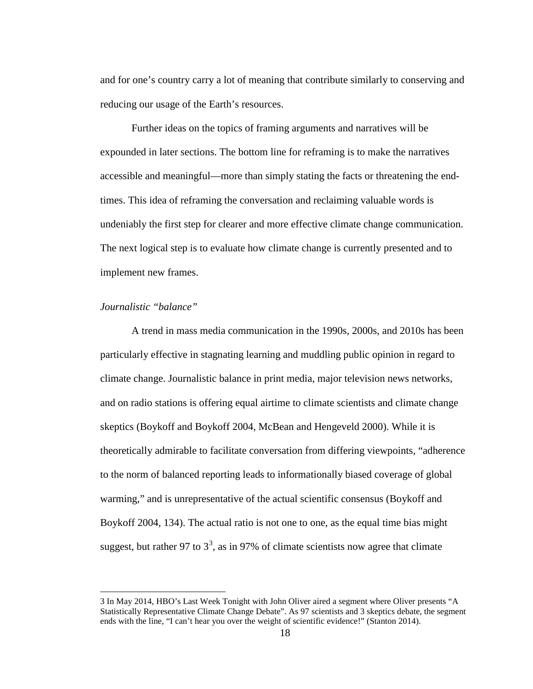and for one's country carry a lot of meaning that contribute similarly to conserving and reducing our usage of the Earth's resources.

Further ideas on the topics of framing arguments and narratives will be expounded in later sections. The bottom line for reframing is to make the narratives accessible and meaningful—more than simply stating the facts or threatening the endtimes. This idea of reframing the conversation and reclaiming valuable words is undeniably the first step for clearer and more effective climate change communication. The next logical step is to evaluate how climate change is currently presented and to implement new frames.

#### *Journalistic "balance"*

A trend in mass media communication in the 1990s, 2000s, and 2010s has been particularly effective in stagnating learning and muddling public opinion in regard to climate change. Journalistic balance in print media, major television news networks, and on radio stations is offering equal airtime to climate scientists and climate change skeptics [\(Boykoff and Boykoff 2004,](#page-68-0) [McBean and Hengeveld 2000\)](#page-70-1). While it is theoretically admirable to facilitate conversation from differing viewpoints, "adherence to the norm of balanced reporting leads to informationally biased coverage of global warming," and is unrepresentative of the actual scientific consensus [\(Boykoff and](#page-68-0)  [Boykoff 2004, 134\)](#page-68-0). The actual ratio is not one to one, as the equal time bias might suggest, but rather 97 to  $3^3$  $3^3$ , as in 97% of climate scientists now agree that climate

<span id="page-23-0"></span><sup>3</sup> In May 2014, HBO's Last Week Tonight with John Oliver aired a segment where Oliver presents "A Statistically Representative Climate Change Debate". As 97 scientists and 3 skeptics debate, the segment ends with the line, "I can't hear you over the weight of scientific evidence!" [\(Stanton 2014\)](#page-70-4).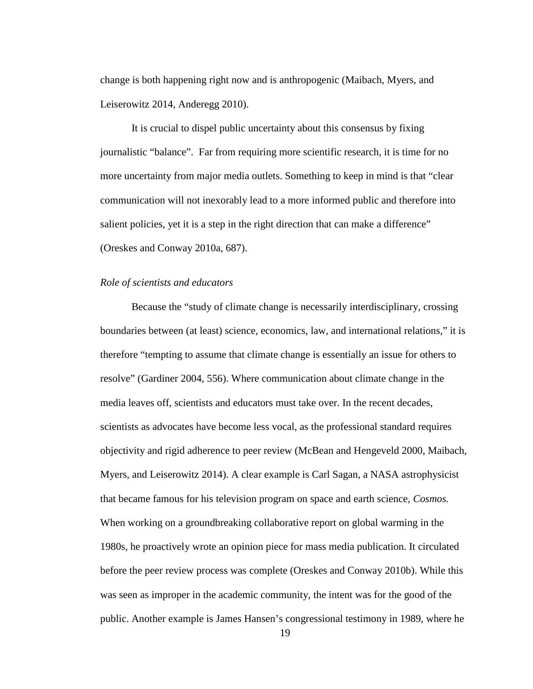change is both happening right now and is anthropogenic [\(Maibach, Myers, and](#page-69-0)  [Leiserowitz 2014,](#page-69-0) [Anderegg 2010\)](#page-68-1).

It is crucial to dispel public uncertainty about this consensus by fixing journalistic "balance". Far from requiring more scientific research, it is time for no more uncertainty from major media outlets. Something to keep in mind is that "clear communication will not inexorably lead to a more informed public and therefore into salient policies, yet it is a step in the right direction that can make a difference" [\(Oreskes and Conway 2010a, 687\)](#page-70-5).

#### *Role of scientists and educators*

Because the "study of climate change is necessarily interdisciplinary, crossing boundaries between (at least) science, economics, law, and international relations," it is therefore "tempting to assume that climate change is essentially an issue for others to resolve" [\(Gardiner 2004, 556\)](#page-68-7). Where communication about climate change in the media leaves off, scientists and educators must take over. In the recent decades, scientists as advocates have become less vocal, as the professional standard requires objectivity and rigid adherence to peer review [\(McBean and Hengeveld 2000,](#page-70-1) [Maibach,](#page-69-0)  [Myers, and Leiserowitz 2014\)](#page-69-0). A clear example is Carl Sagan, a NASA astrophysicist that became famous for his television program on space and earth science, *Cosmos.* When working on a groundbreaking collaborative report on global warming in the 1980s, he proactively wrote an opinion piece for mass media publication. It circulated before the peer review process was complete [\(Oreskes and Conway 2010b\)](#page-70-6). While this was seen as improper in the academic community, the intent was for the good of the public. Another example is James Hansen's congressional testimony in 1989, where he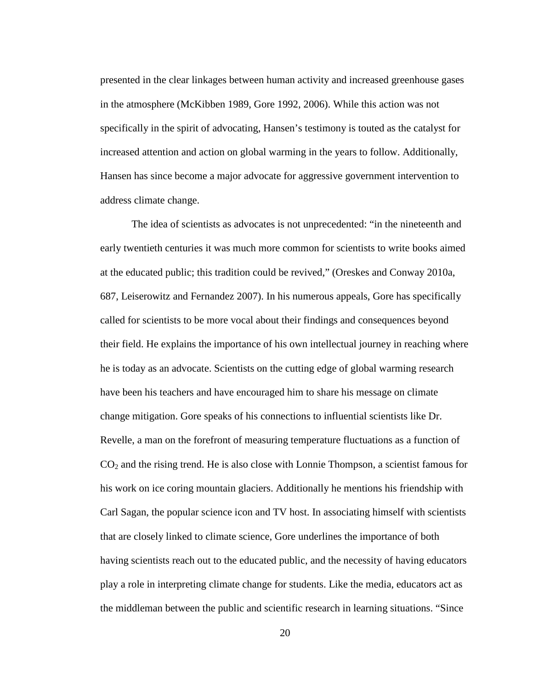presented in the clear linkages between human activity and increased greenhouse gases in the atmosphere [\(McKibben 1989,](#page-70-7) [Gore 1992,](#page-68-8) [2006\)](#page-69-8). While this action was not specifically in the spirit of advocating, Hansen's testimony is touted as the catalyst for increased attention and action on global warming in the years to follow. Additionally, Hansen has since become a major advocate for aggressive government intervention to address climate change.

The idea of scientists as advocates is not unprecedented: "in the nineteenth and early twentieth centuries it was much more common for scientists to write books aimed at the educated public; this tradition could be revived," [\(Oreskes and Conway 2010a,](#page-70-5)  [687,](#page-70-5) [Leiserowitz and Fernandez 2007\)](#page-69-5). In his numerous appeals, Gore has specifically called for scientists to be more vocal about their findings and consequences beyond their field. He explains the importance of his own intellectual journey in reaching where he is today as an advocate. Scientists on the cutting edge of global warming research have been his teachers and have encouraged him to share his message on climate change mitigation. Gore speaks of his connections to influential scientists like Dr. Revelle, a man on the forefront of measuring temperature fluctuations as a function of  $CO<sub>2</sub>$  and the rising trend. He is also close with Lonnie Thompson, a scientist famous for his work on ice coring mountain glaciers. Additionally he mentions his friendship with Carl Sagan, the popular science icon and TV host. In associating himself with scientists that are closely linked to climate science, Gore underlines the importance of both having scientists reach out to the educated public, and the necessity of having educators play a role in interpreting climate change for students. Like the media, educators act as the middleman between the public and scientific research in learning situations. "Since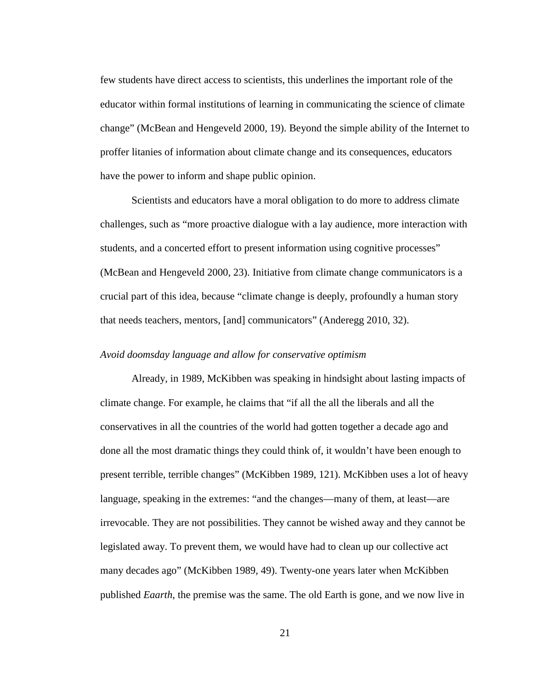few students have direct access to scientists, this underlines the important role of the educator within formal institutions of learning in communicating the science of climate change" [\(McBean and Hengeveld 2000, 19\)](#page-70-1). Beyond the simple ability of the Internet to proffer litanies of information about climate change and its consequences, educators have the power to inform and shape public opinion.

Scientists and educators have a moral obligation to do more to address climate challenges, such as "more proactive dialogue with a lay audience, more interaction with students, and a concerted effort to present information using cognitive processes" [\(McBean and Hengeveld 2000, 23\)](#page-70-1). Initiative from climate change communicators is a crucial part of this idea, because "climate change is deeply, profoundly a human story that needs teachers, mentors, [and] communicators" [\(Anderegg 2010, 32\)](#page-68-1).

#### *Avoid doomsday language and allow for conservative optimism*

Already, in 1989, McKibben was speaking in hindsight about lasting impacts of climate change. For example, he claims that "if all the all the liberals and all the conservatives in all the countries of the world had gotten together a decade ago and done all the most dramatic things they could think of, it wouldn't have been enough to present terrible, terrible changes" [\(McKibben 1989, 121\)](#page-70-7). McKibben uses a lot of heavy language, speaking in the extremes: "and the changes—many of them, at least—are irrevocable. They are not possibilities. They cannot be wished away and they cannot be legislated away. To prevent them, we would have had to clean up our collective act many decades ago" [\(McKibben 1989, 49\)](#page-70-7). Twenty-one years later when McKibben published *Eaarth*, the premise was the same. The old Earth is gone, and we now live in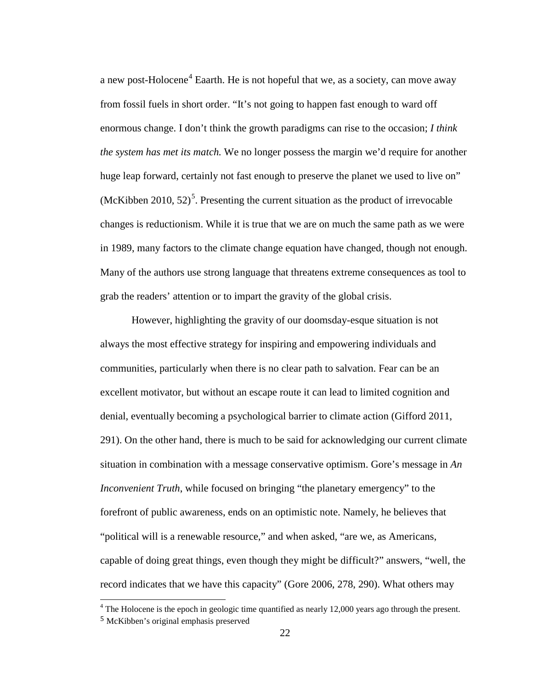a new post-Holocene<sup>[4](#page-27-0)</sup> Eaarth. He is not hopeful that we, as a society, can move away from fossil fuels in short order. "It's not going to happen fast enough to ward off enormous change. I don't think the growth paradigms can rise to the occasion; *I think the system has met its match.* We no longer possess the margin we'd require for another huge leap forward, certainly not fast enough to preserve the planet we used to live on" (McKibben 2010,  $52$  $52$ )<sup>5</sup>. Presenting the current situation as the product of irrevocable changes is reductionism. While it is true that we are on much the same path as we were in 1989, many factors to the climate change equation have changed, though not enough. Many of the authors use strong language that threatens extreme consequences as tool to grab the readers' attention or to impart the gravity of the global crisis.

However, highlighting the gravity of our doomsday-esque situation is not always the most effective strategy for inspiring and empowering individuals and communities, particularly when there is no clear path to salvation. Fear can be an excellent motivator, but without an escape route it can lead to limited cognition and denial, eventually becoming a psychological barrier to climate action [\(Gifford 2011,](#page-68-9)  [291\)](#page-68-9). On the other hand, there is much to be said for acknowledging our current climate situation in combination with a message conservative optimism. Gore's message in *An Inconvenient Truth*, while focused on bringing "the planetary emergency" to the forefront of public awareness, ends on an optimistic note. Namely, he believes that "political will is a renewable resource," and when asked, "are we, as Americans, capable of doing great things, even though they might be difficult?" answers, "well, the record indicates that we have this capacity" [\(Gore 2006, 278, 290\)](#page-69-8). What others may

<span id="page-27-0"></span><sup>&</sup>lt;sup>4</sup> The Holocene is the epoch in geologic time quantified as nearly 12,000 years ago through the present.

<span id="page-27-1"></span><sup>5</sup> McKibben's original emphasis preserved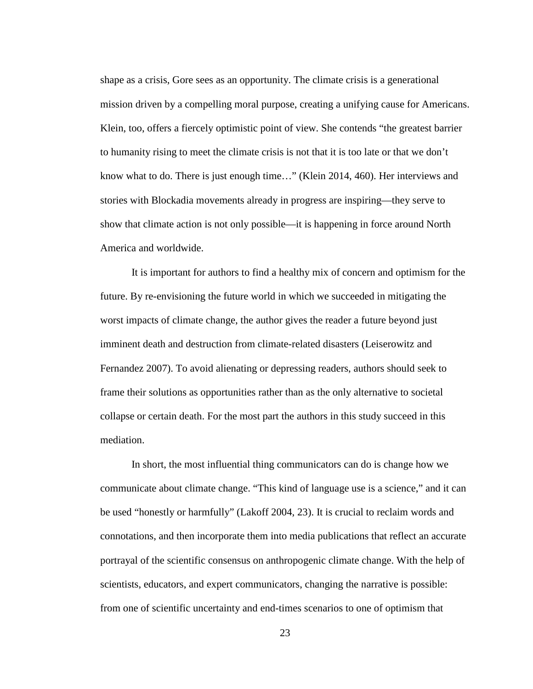shape as a crisis, Gore sees as an opportunity. The climate crisis is a generational mission driven by a compelling moral purpose, creating a unifying cause for Americans. Klein, too, offers a fiercely optimistic point of view. She contends "the greatest barrier to humanity rising to meet the climate crisis is not that it is too late or that we don't know what to do. There is just enough time…" [\(Klein 2014, 460\)](#page-69-4). Her interviews and stories with Blockadia movements already in progress are inspiring—they serve to show that climate action is not only possible—it is happening in force around North America and worldwide.

It is important for authors to find a healthy mix of concern and optimism for the future. By re-envisioning the future world in which we succeeded in mitigating the worst impacts of climate change, the author gives the reader a future beyond just imminent death and destruction from climate-related disasters [\(Leiserowitz and](#page-69-5)  [Fernandez 2007\)](#page-69-5). To avoid alienating or depressing readers, authors should seek to frame their solutions as opportunities rather than as the only alternative to societal collapse or certain death. For the most part the authors in this study succeed in this mediation.

In short, the most influential thing communicators can do is change how we communicate about climate change. "This kind of language use is a science," and it can be used "honestly or harmfully" [\(Lakoff 2004, 23\)](#page-69-7). It is crucial to reclaim words and connotations, and then incorporate them into media publications that reflect an accurate portrayal of the scientific consensus on anthropogenic climate change. With the help of scientists, educators, and expert communicators, changing the narrative is possible: from one of scientific uncertainty and end-times scenarios to one of optimism that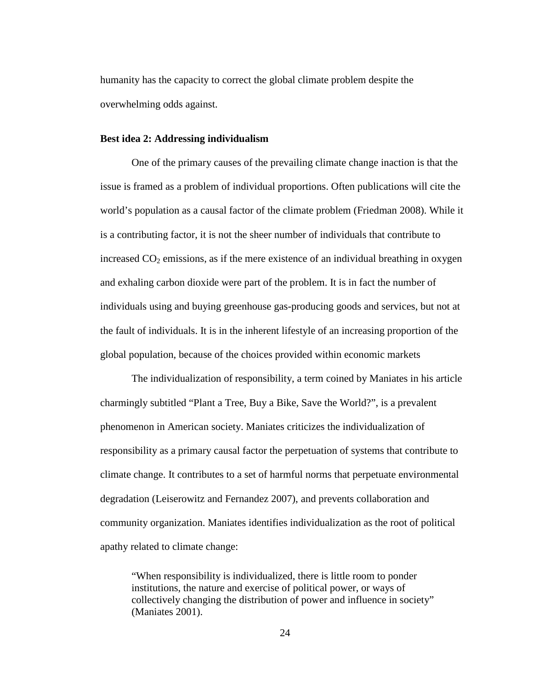humanity has the capacity to correct the global climate problem despite the overwhelming odds against.

#### **Best idea 2: Addressing individualism**

One of the primary causes of the prevailing climate change inaction is that the issue is framed as a problem of individual proportions. Often publications will cite the world's population as a causal factor of the climate problem [\(Friedman 2008\)](#page-68-6). While it is a contributing factor, it is not the sheer number of individuals that contribute to increased  $CO<sub>2</sub>$  emissions, as if the mere existence of an individual breathing in oxygen and exhaling carbon dioxide were part of the problem. It is in fact the number of individuals using and buying greenhouse gas-producing goods and services, but not at the fault of individuals. It is in the inherent lifestyle of an increasing proportion of the global population, because of the choices provided within economic markets

The individualization of responsibility, a term coined by Maniates in his article charmingly subtitled "Plant a Tree, Buy a Bike, Save the World?", is a prevalent phenomenon in American society. Maniates criticizes the individualization of responsibility as a primary causal factor the perpetuation of systems that contribute to climate change. It contributes to a set of harmful norms that perpetuate environmental degradation [\(Leiserowitz and Fernandez 2007\)](#page-69-5), and prevents collaboration and community organization. Maniates identifies individualization as the root of political apathy related to climate change:

"When responsibility is individualized, there is little room to ponder institutions, the nature and exercise of political power, or ways of collectively changing the distribution of power and influence in society" [\(Maniates 2001\)](#page-69-9).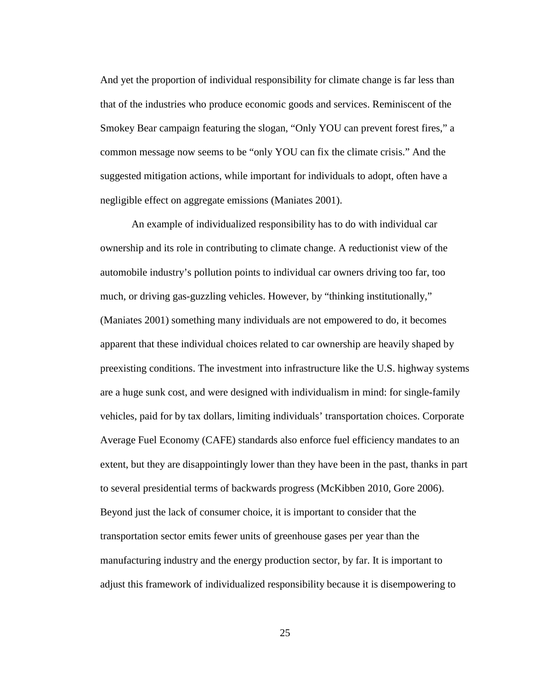And yet the proportion of individual responsibility for climate change is far less than that of the industries who produce economic goods and services. Reminiscent of the Smokey Bear campaign featuring the slogan, "Only YOU can prevent forest fires," a common message now seems to be "only YOU can fix the climate crisis." And the suggested mitigation actions, while important for individuals to adopt, often have a negligible effect on aggregate emissions [\(Maniates 2001\)](#page-69-9).

An example of individualized responsibility has to do with individual car ownership and its role in contributing to climate change. A reductionist view of the automobile industry's pollution points to individual car owners driving too far, too much, or driving gas-guzzling vehicles. However, by "thinking institutionally," [\(Maniates 2001\)](#page-69-9) something many individuals are not empowered to do, it becomes apparent that these individual choices related to car ownership are heavily shaped by preexisting conditions. The investment into infrastructure like the U.S. highway systems are a huge sunk cost, and were designed with individualism in mind: for single-family vehicles, paid for by tax dollars, limiting individuals' transportation choices. Corporate Average Fuel Economy (CAFE) standards also enforce fuel efficiency mandates to an extent, but they are disappointingly lower than they have been in the past, thanks in part to several presidential terms of backwards progress [\(McKibben 2010,](#page-70-3) [Gore 2006\)](#page-69-8). Beyond just the lack of consumer choice, it is important to consider that the transportation sector emits fewer units of greenhouse gases per year than the manufacturing industry and the energy production sector, by far. It is important to adjust this framework of individualized responsibility because it is disempowering to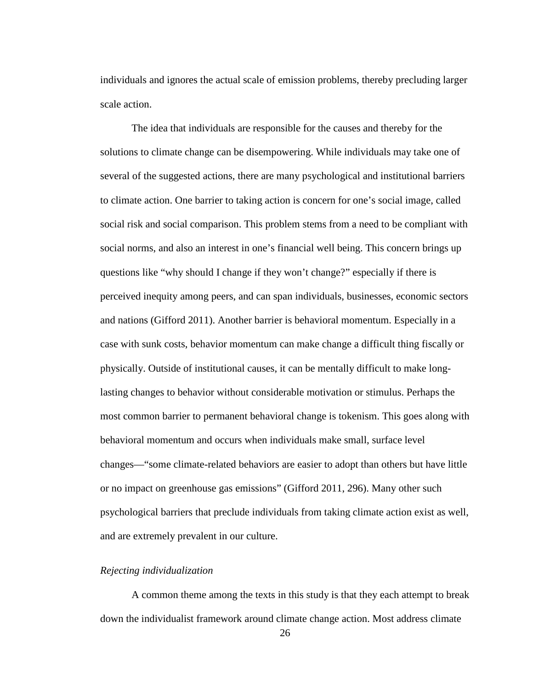individuals and ignores the actual scale of emission problems, thereby precluding larger scale action.

The idea that individuals are responsible for the causes and thereby for the solutions to climate change can be disempowering. While individuals may take one of several of the suggested actions, there are many psychological and institutional barriers to climate action. One barrier to taking action is concern for one's social image, called social risk and social comparison. This problem stems from a need to be compliant with social norms, and also an interest in one's financial well being. This concern brings up questions like "why should I change if they won't change?" especially if there is perceived inequity among peers, and can span individuals, businesses, economic sectors and nations [\(Gifford 2011\)](#page-68-9). Another barrier is behavioral momentum. Especially in a case with sunk costs, behavior momentum can make change a difficult thing fiscally or physically. Outside of institutional causes, it can be mentally difficult to make longlasting changes to behavior without considerable motivation or stimulus. Perhaps the most common barrier to permanent behavioral change is tokenism. This goes along with behavioral momentum and occurs when individuals make small, surface level changes—"some climate-related behaviors are easier to adopt than others but have little or no impact on greenhouse gas emissions" [\(Gifford 2011, 296\)](#page-68-9). Many other such psychological barriers that preclude individuals from taking climate action exist as well, and are extremely prevalent in our culture.

#### *Rejecting individualization*

A common theme among the texts in this study is that they each attempt to break down the individualist framework around climate change action. Most address climate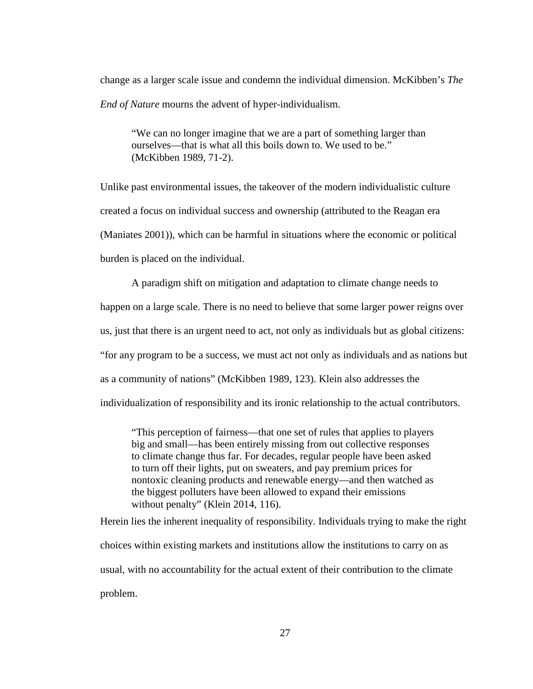change as a larger scale issue and condemn the individual dimension. McKibben's *The End of Nature* mourns the advent of hyper-individualism.

"We can no longer imagine that we are a part of something larger than ourselves—that is what all this boils down to. We used to be." [\(McKibben 1989, 71-2\)](#page-70-7).

Unlike past environmental issues, the takeover of the modern individualistic culture created a focus on individual success and ownership (attributed to the Reagan era [\(Maniates 2001\)](#page-69-9)), which can be harmful in situations where the economic or political burden is placed on the individual.

A paradigm shift on mitigation and adaptation to climate change needs to happen on a large scale. There is no need to believe that some larger power reigns over us, just that there is an urgent need to act, not only as individuals but as global citizens: "for any program to be a success, we must act not only as individuals and as nations but as a community of nations" [\(McKibben 1989, 123\)](#page-70-7). Klein also addresses the individualization of responsibility and its ironic relationship to the actual contributors.

"This perception of fairness—that one set of rules that applies to players big and small—has been entirely missing from out collective responses to climate change thus far. For decades, regular people have been asked to turn off their lights, put on sweaters, and pay premium prices for nontoxic cleaning products and renewable energy—and then watched as the biggest polluters have been allowed to expand their emissions without penalty" [\(Klein 2014, 116\)](#page-69-4).

Herein lies the inherent inequality of responsibility. Individuals trying to make the right choices within existing markets and institutions allow the institutions to carry on as usual, with no accountability for the actual extent of their contribution to the climate problem.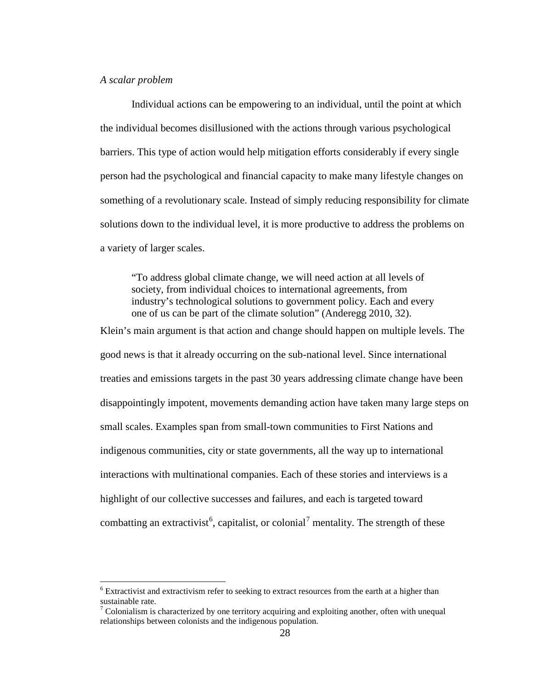#### *A scalar problem*

Individual actions can be empowering to an individual, until the point at which the individual becomes disillusioned with the actions through various psychological barriers. This type of action would help mitigation efforts considerably if every single person had the psychological and financial capacity to make many lifestyle changes on something of a revolutionary scale. Instead of simply reducing responsibility for climate solutions down to the individual level, it is more productive to address the problems on a variety of larger scales.

"To address global climate change, we will need action at all levels of society, from individual choices to international agreements, from industry's technological solutions to government policy. Each and every one of us can be part of the climate solution" [\(Anderegg 2010, 32\)](#page-68-1). Klein's main argument is that action and change should happen on multiple levels. The good news is that it already occurring on the sub-national level. Since international treaties and emissions targets in the past 30 years addressing climate change have been disappointingly impotent, movements demanding action have taken many large steps on small scales. Examples span from small-town communities to First Nations and indigenous communities, city or state governments, all the way up to international interactions with multinational companies. Each of these stories and interviews is a highlight of our collective successes and failures, and each is targeted toward combatting an extractivist<sup>[6](#page-33-0)</sup>, capitalist, or colonial<sup>[7](#page-33-1)</sup> mentality. The strength of these

<span id="page-33-0"></span><sup>6</sup> Extractivist and extractivism refer to seeking to extract resources from the earth at a higher than sustainable rate.

<span id="page-33-1"></span> $7$  Colonialism is characterized by one territory acquiring and exploiting another, often with unequal relationships between colonists and the indigenous population.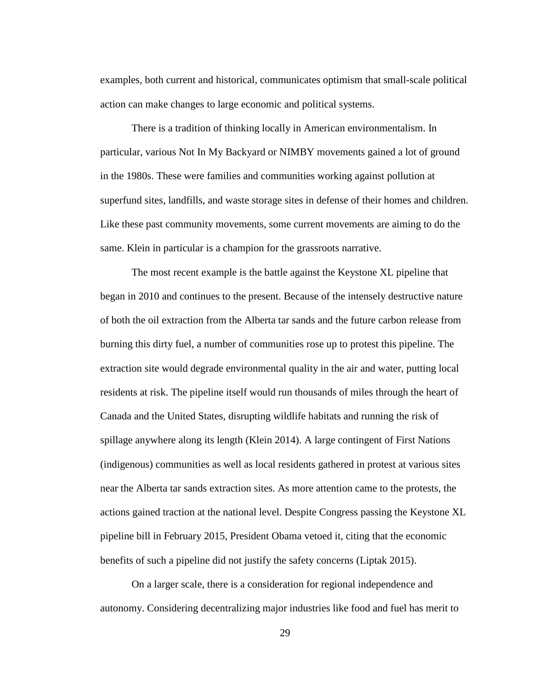examples, both current and historical, communicates optimism that small-scale political action can make changes to large economic and political systems.

There is a tradition of thinking locally in American environmentalism. In particular, various Not In My Backyard or NIMBY movements gained a lot of ground in the 1980s. These were families and communities working against pollution at superfund sites, landfills, and waste storage sites in defense of their homes and children. Like these past community movements, some current movements are aiming to do the same. Klein in particular is a champion for the grassroots narrative.

The most recent example is the battle against the Keystone XL pipeline that began in 2010 and continues to the present. Because of the intensely destructive nature of both the oil extraction from the Alberta tar sands and the future carbon release from burning this dirty fuel, a number of communities rose up to protest this pipeline. The extraction site would degrade environmental quality in the air and water, putting local residents at risk. The pipeline itself would run thousands of miles through the heart of Canada and the United States, disrupting wildlife habitats and running the risk of spillage anywhere along its length [\(Klein 2014\)](#page-69-4). A large contingent of First Nations (indigenous) communities as well as local residents gathered in protest at various sites near the Alberta tar sands extraction sites. As more attention came to the protests, the actions gained traction at the national level. Despite Congress passing the Keystone XL pipeline bill in February 2015, President Obama vetoed it, citing that the economic benefits of such a pipeline did not justify the safety concerns [\(Liptak 2015\)](#page-69-10).

On a larger scale, there is a consideration for regional independence and autonomy. Considering decentralizing major industries like food and fuel has merit to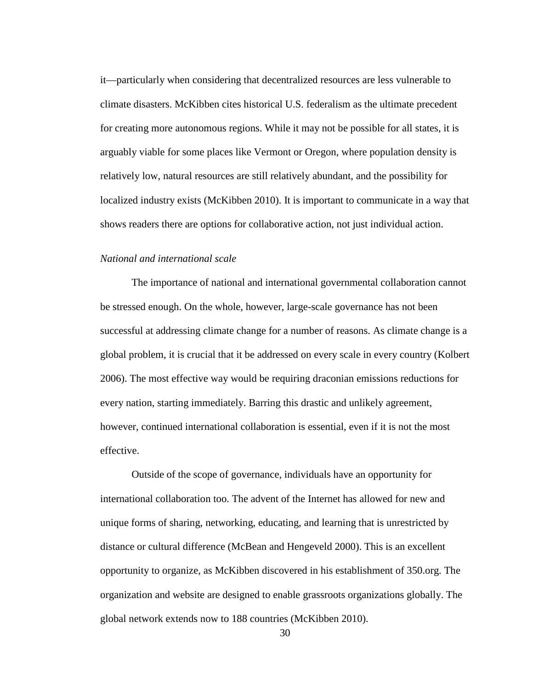it—particularly when considering that decentralized resources are less vulnerable to climate disasters. McKibben cites historical U.S. federalism as the ultimate precedent for creating more autonomous regions. While it may not be possible for all states, it is arguably viable for some places like Vermont or Oregon, where population density is relatively low, natural resources are still relatively abundant, and the possibility for localized industry exists [\(McKibben 2010\)](#page-70-3). It is important to communicate in a way that shows readers there are options for collaborative action, not just individual action.

#### *National and international scale*

The importance of national and international governmental collaboration cannot be stressed enough. On the whole, however, large-scale governance has not been successful at addressing climate change for a number of reasons. As climate change is a global problem, it is crucial that it be addressed on every scale in every country [\(Kolbert](#page-69-3)  [2006\)](#page-69-3). The most effective way would be requiring draconian emissions reductions for every nation, starting immediately. Barring this drastic and unlikely agreement, however, continued international collaboration is essential, even if it is not the most effective.

Outside of the scope of governance, individuals have an opportunity for international collaboration too. The advent of the Internet has allowed for new and unique forms of sharing, networking, educating, and learning that is unrestricted by distance or cultural difference [\(McBean and Hengeveld 2000\)](#page-70-1). This is an excellent opportunity to organize, as McKibben discovered in his establishment of 350.org. The organization and website are designed to enable grassroots organizations globally. The global network extends now to 188 countries [\(McKibben 2010\)](#page-70-3).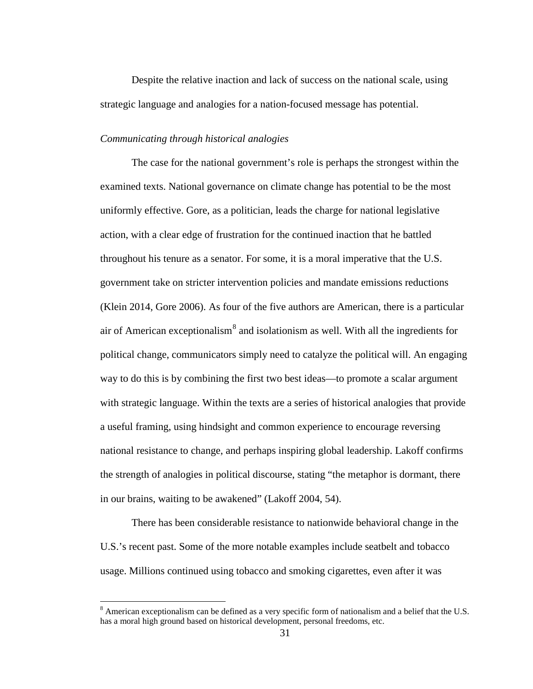Despite the relative inaction and lack of success on the national scale, using strategic language and analogies for a nation-focused message has potential.

#### *Communicating through historical analogies*

The case for the national government's role is perhaps the strongest within the examined texts. National governance on climate change has potential to be the most uniformly effective. Gore, as a politician, leads the charge for national legislative action, with a clear edge of frustration for the continued inaction that he battled throughout his tenure as a senator. For some, it is a moral imperative that the U.S. government take on stricter intervention policies and mandate emissions reductions [\(Klein 2014,](#page-69-4) [Gore 2006\)](#page-69-8). As four of the five authors are American, there is a particular air of American exceptionalism $\delta$  and isolationism as well. With all the ingredients for political change, communicators simply need to catalyze the political will. An engaging way to do this is by combining the first two best ideas—to promote a scalar argument with strategic language. Within the texts are a series of historical analogies that provide a useful framing, using hindsight and common experience to encourage reversing national resistance to change, and perhaps inspiring global leadership. Lakoff confirms the strength of analogies in political discourse, stating "the metaphor is dormant, there in our brains, waiting to be awakened" [\(Lakoff 2004, 54\)](#page-69-7).

There has been considerable resistance to nationwide behavioral change in the U.S.'s recent past. Some of the more notable examples include seatbelt and tobacco usage. Millions continued using tobacco and smoking cigarettes, even after it was

<span id="page-36-0"></span><sup>&</sup>lt;sup>8</sup> American exceptionalism can be defined as a very specific form of nationalism and a belief that the U.S. has a moral high ground based on historical development, personal freedoms, etc.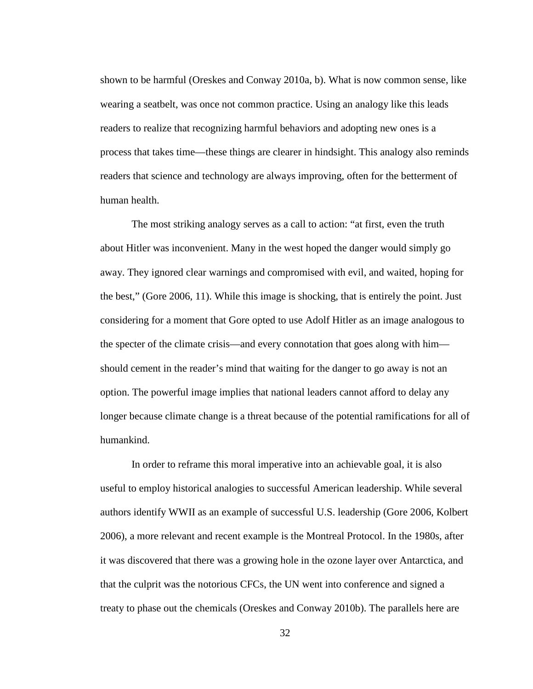shown to be harmful [\(Oreskes and Conway 2010a,](#page-70-5) [b\)](#page-70-6). What is now common sense, like wearing a seatbelt, was once not common practice. Using an analogy like this leads readers to realize that recognizing harmful behaviors and adopting new ones is a process that takes time—these things are clearer in hindsight. This analogy also reminds readers that science and technology are always improving, often for the betterment of human health.

The most striking analogy serves as a call to action: "at first, even the truth about Hitler was inconvenient. Many in the west hoped the danger would simply go away. They ignored clear warnings and compromised with evil, and waited, hoping for the best," [\(Gore 2006, 11\)](#page-69-8). While this image is shocking, that is entirely the point. Just considering for a moment that Gore opted to use Adolf Hitler as an image analogous to the specter of the climate crisis—and every connotation that goes along with him should cement in the reader's mind that waiting for the danger to go away is not an option. The powerful image implies that national leaders cannot afford to delay any longer because climate change is a threat because of the potential ramifications for all of humankind.

In order to reframe this moral imperative into an achievable goal, it is also useful to employ historical analogies to successful American leadership. While several authors identify WWII as an example of successful U.S. leadership [\(Gore 2006,](#page-69-8) [Kolbert](#page-69-3)  [2006\)](#page-69-3), a more relevant and recent example is the Montreal Protocol. In the 1980s, after it was discovered that there was a growing hole in the ozone layer over Antarctica, and that the culprit was the notorious CFCs, the UN went into conference and signed a treaty to phase out the chemicals [\(Oreskes and Conway 2010b\)](#page-70-6). The parallels here are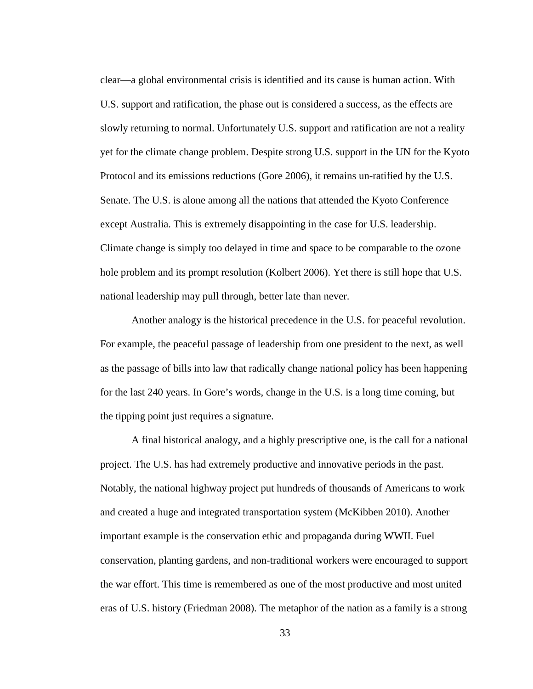clear—a global environmental crisis is identified and its cause is human action. With U.S. support and ratification, the phase out is considered a success, as the effects are slowly returning to normal. Unfortunately U.S. support and ratification are not a reality yet for the climate change problem. Despite strong U.S. support in the UN for the Kyoto Protocol and its emissions reductions [\(Gore 2006\)](#page-69-8), it remains un-ratified by the U.S. Senate. The U.S. is alone among all the nations that attended the Kyoto Conference except Australia. This is extremely disappointing in the case for U.S. leadership. Climate change is simply too delayed in time and space to be comparable to the ozone hole problem and its prompt resolution [\(Kolbert 2006\)](#page-69-3). Yet there is still hope that U.S. national leadership may pull through, better late than never.

Another analogy is the historical precedence in the U.S. for peaceful revolution. For example, the peaceful passage of leadership from one president to the next, as well as the passage of bills into law that radically change national policy has been happening for the last 240 years. In Gore's words, change in the U.S. is a long time coming, but the tipping point just requires a signature.

A final historical analogy, and a highly prescriptive one, is the call for a national project. The U.S. has had extremely productive and innovative periods in the past. Notably, the national highway project put hundreds of thousands of Americans to work and created a huge and integrated transportation system [\(McKibben 2010\)](#page-70-3). Another important example is the conservation ethic and propaganda during WWII. Fuel conservation, planting gardens, and non-traditional workers were encouraged to support the war effort. This time is remembered as one of the most productive and most united eras of U.S. history [\(Friedman 2008\)](#page-68-6). The metaphor of the nation as a family is a strong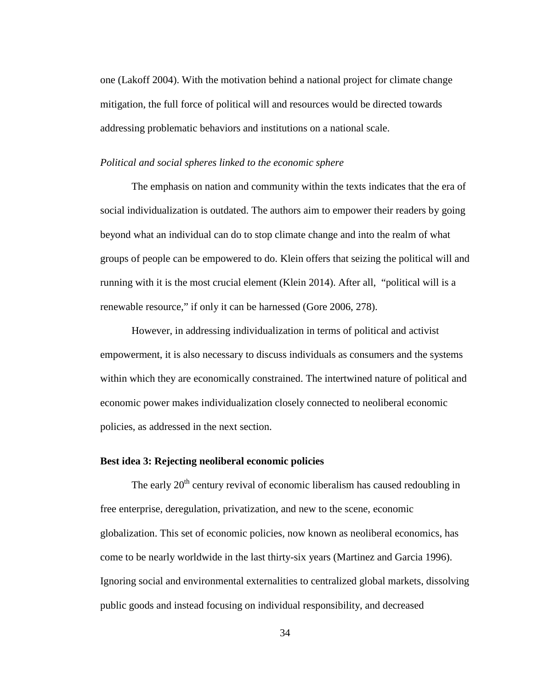one [\(Lakoff 2004\)](#page-69-7). With the motivation behind a national project for climate change mitigation, the full force of political will and resources would be directed towards addressing problematic behaviors and institutions on a national scale.

#### *Political and social spheres linked to the economic sphere*

The emphasis on nation and community within the texts indicates that the era of social individualization is outdated. The authors aim to empower their readers by going beyond what an individual can do to stop climate change and into the realm of what groups of people can be empowered to do. Klein offers that seizing the political will and running with it is the most crucial element [\(Klein 2014\)](#page-69-4). After all, "political will is a renewable resource," if only it can be harnessed [\(Gore 2006, 278\)](#page-69-8).

However, in addressing individualization in terms of political and activist empowerment, it is also necessary to discuss individuals as consumers and the systems within which they are economically constrained. The intertwined nature of political and economic power makes individualization closely connected to neoliberal economic policies, as addressed in the next section.

#### **Best idea 3: Rejecting neoliberal economic policies**

The early  $20<sup>th</sup>$  century revival of economic liberalism has caused redoubling in free enterprise, deregulation, privatization, and new to the scene, economic globalization. This set of economic policies, now known as neoliberal economics, has come to be nearly worldwide in the last thirty-six years [\(Martinez and Garcia 1996\)](#page-69-11). Ignoring social and environmental externalities to centralized global markets, dissolving public goods and instead focusing on individual responsibility, and decreased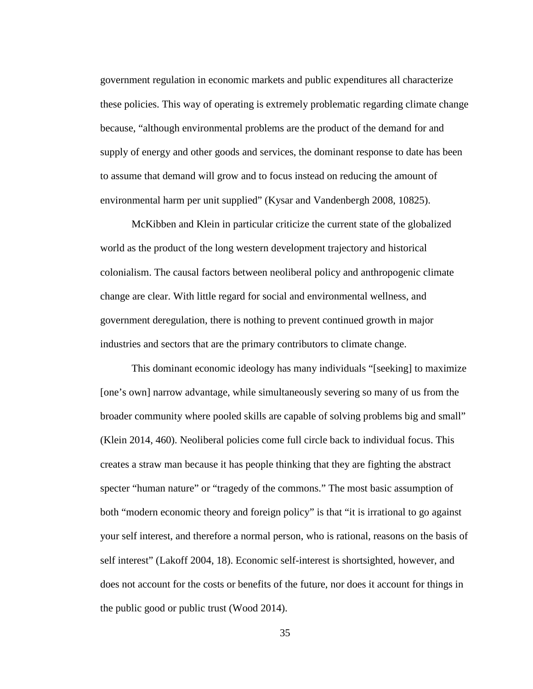government regulation in economic markets and public expenditures all characterize these policies. This way of operating is extremely problematic regarding climate change because, "although environmental problems are the product of the demand for and supply of energy and other goods and services, the dominant response to date has been to assume that demand will grow and to focus instead on reducing the amount of environmental harm per unit supplied" [\(Kysar and Vandenbergh 2008, 10825\)](#page-69-12).

McKibben and Klein in particular criticize the current state of the globalized world as the product of the long western development trajectory and historical colonialism. The causal factors between neoliberal policy and anthropogenic climate change are clear. With little regard for social and environmental wellness, and government deregulation, there is nothing to prevent continued growth in major industries and sectors that are the primary contributors to climate change.

This dominant economic ideology has many individuals "[seeking] to maximize [one's own] narrow advantage, while simultaneously severing so many of us from the broader community where pooled skills are capable of solving problems big and small" [\(Klein 2014, 460\)](#page-69-4). Neoliberal policies come full circle back to individual focus. This creates a straw man because it has people thinking that they are fighting the abstract specter "human nature" or "tragedy of the commons." The most basic assumption of both "modern economic theory and foreign policy" is that "it is irrational to go against your self interest, and therefore a normal person, who is rational, reasons on the basis of self interest" [\(Lakoff 2004, 18\)](#page-69-7). Economic self-interest is shortsighted, however, and does not account for the costs or benefits of the future, nor does it account for things in the public good or public trust [\(Wood 2014\)](#page-70-8).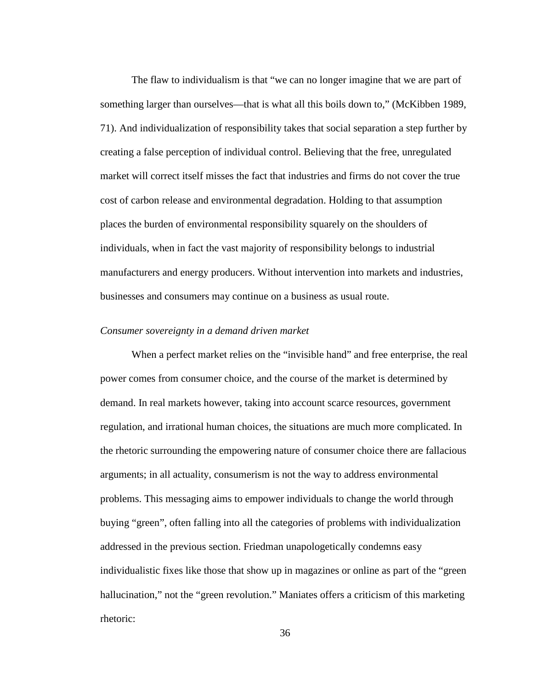The flaw to individualism is that "we can no longer imagine that we are part of something larger than ourselves—that is what all this boils down to," [\(McKibben 1989,](#page-70-7)  [71\)](#page-70-7). And individualization of responsibility takes that social separation a step further by creating a false perception of individual control. Believing that the free, unregulated market will correct itself misses the fact that industries and firms do not cover the true cost of carbon release and environmental degradation. Holding to that assumption places the burden of environmental responsibility squarely on the shoulders of individuals, when in fact the vast majority of responsibility belongs to industrial manufacturers and energy producers. Without intervention into markets and industries, businesses and consumers may continue on a business as usual route.

#### *Consumer sovereignty in a demand driven market*

When a perfect market relies on the "invisible hand" and free enterprise, the real power comes from consumer choice, and the course of the market is determined by demand. In real markets however, taking into account scarce resources, government regulation, and irrational human choices, the situations are much more complicated. In the rhetoric surrounding the empowering nature of consumer choice there are fallacious arguments; in all actuality, consumerism is not the way to address environmental problems. This messaging aims to empower individuals to change the world through buying "green", often falling into all the categories of problems with individualization addressed in the previous section. Friedman unapologetically condemns easy individualistic fixes like those that show up in magazines or online as part of the "green hallucination," not the "green revolution." Maniates offers a criticism of this marketing rhetoric: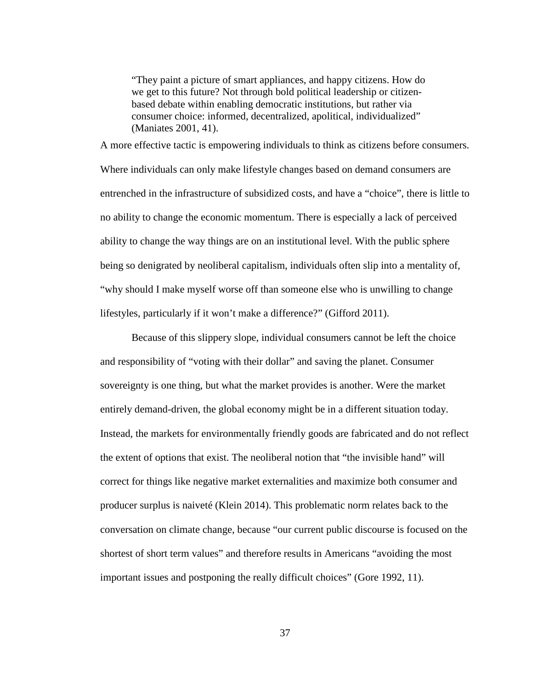"They paint a picture of smart appliances, and happy citizens. How do we get to this future? Not through bold political leadership or citizenbased debate within enabling democratic institutions, but rather via consumer choice: informed, decentralized, apolitical, individualized" [\(Maniates 2001, 41\)](#page-69-9).

A more effective tactic is empowering individuals to think as citizens before consumers. Where individuals can only make lifestyle changes based on demand consumers are entrenched in the infrastructure of subsidized costs, and have a "choice", there is little to no ability to change the economic momentum. There is especially a lack of perceived ability to change the way things are on an institutional level. With the public sphere being so denigrated by neoliberal capitalism, individuals often slip into a mentality of, "why should I make myself worse off than someone else who is unwilling to change lifestyles, particularly if it won't make a difference?" [\(Gifford 2011\)](#page-68-9).

Because of this slippery slope, individual consumers cannot be left the choice and responsibility of "voting with their dollar" and saving the planet. Consumer sovereignty is one thing, but what the market provides is another. Were the market entirely demand-driven, the global economy might be in a different situation today. Instead, the markets for environmentally friendly goods are fabricated and do not reflect the extent of options that exist. The neoliberal notion that "the invisible hand" will correct for things like negative market externalities and maximize both consumer and producer surplus is naiveté [\(Klein 2014\)](#page-69-4). This problematic norm relates back to the conversation on climate change, because "our current public discourse is focused on the shortest of short term values" and therefore results in Americans "avoiding the most important issues and postponing the really difficult choices" [\(Gore 1992, 11\)](#page-68-8).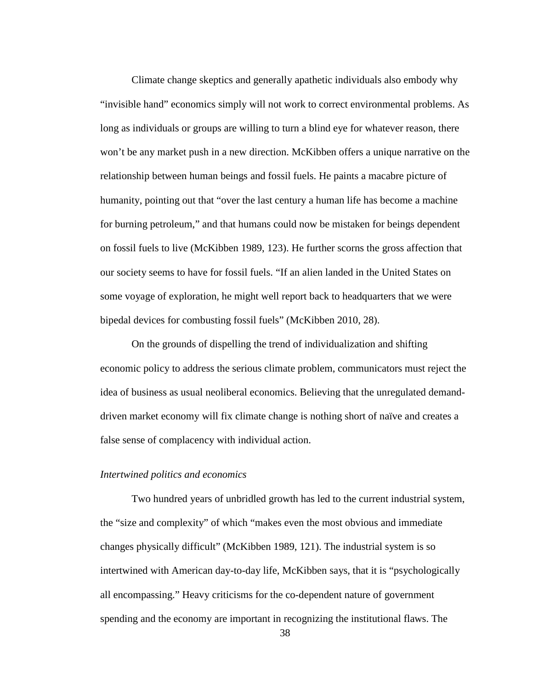Climate change skeptics and generally apathetic individuals also embody why "invisible hand" economics simply will not work to correct environmental problems. As long as individuals or groups are willing to turn a blind eye for whatever reason, there won't be any market push in a new direction. McKibben offers a unique narrative on the relationship between human beings and fossil fuels. He paints a macabre picture of humanity, pointing out that "over the last century a human life has become a machine for burning petroleum," and that humans could now be mistaken for beings dependent on fossil fuels to live [\(McKibben 1989, 123\)](#page-70-7). He further scorns the gross affection that our society seems to have for fossil fuels. "If an alien landed in the United States on some voyage of exploration, he might well report back to headquarters that we were bipedal devices for combusting fossil fuels" [\(McKibben 2010, 28\)](#page-70-3).

On the grounds of dispelling the trend of individualization and shifting economic policy to address the serious climate problem, communicators must reject the idea of business as usual neoliberal economics. Believing that the unregulated demanddriven market economy will fix climate change is nothing short of naïve and creates a false sense of complacency with individual action.

#### *Intertwined politics and economics*

Two hundred years of unbridled growth has led to the current industrial system, the "size and complexity" of which "makes even the most obvious and immediate changes physically difficult" [\(McKibben 1989, 121\)](#page-70-7). The industrial system is so intertwined with American day-to-day life, McKibben says, that it is "psychologically all encompassing." Heavy criticisms for the co-dependent nature of government spending and the economy are important in recognizing the institutional flaws. The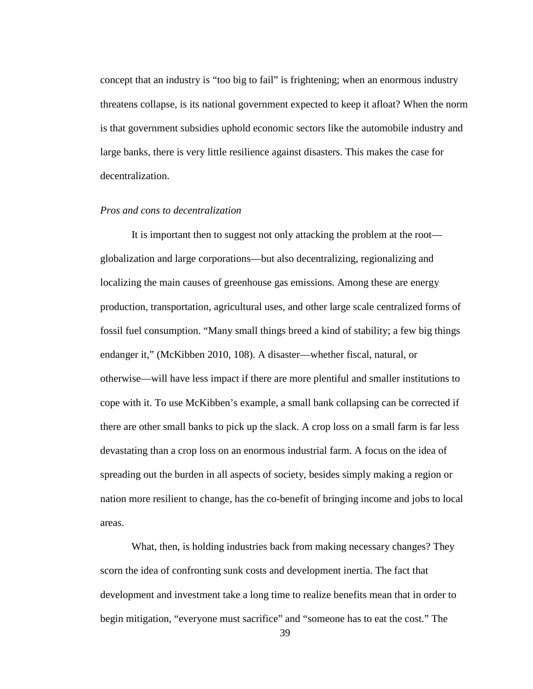concept that an industry is "too big to fail" is frightening; when an enormous industry threatens collapse, is its national government expected to keep it afloat? When the norm is that government subsidies uphold economic sectors like the automobile industry and large banks, there is very little resilience against disasters. This makes the case for decentralization.

#### *Pros and cons to decentralization*

It is important then to suggest not only attacking the problem at the root globalization and large corporations—but also decentralizing, regionalizing and localizing the main causes of greenhouse gas emissions. Among these are energy production, transportation, agricultural uses, and other large scale centralized forms of fossil fuel consumption. "Many small things breed a kind of stability; a few big things endanger it," [\(McKibben 2010, 108\)](#page-70-3). A disaster—whether fiscal, natural, or otherwise—will have less impact if there are more plentiful and smaller institutions to cope with it. To use McKibben's example, a small bank collapsing can be corrected if there are other small banks to pick up the slack. A crop loss on a small farm is far less devastating than a crop loss on an enormous industrial farm. A focus on the idea of spreading out the burden in all aspects of society, besides simply making a region or nation more resilient to change, has the co-benefit of bringing income and jobs to local areas.

What, then, is holding industries back from making necessary changes? They scorn the idea of confronting sunk costs and development inertia. The fact that development and investment take a long time to realize benefits mean that in order to begin mitigation, "everyone must sacrifice" and "someone has to eat the cost." The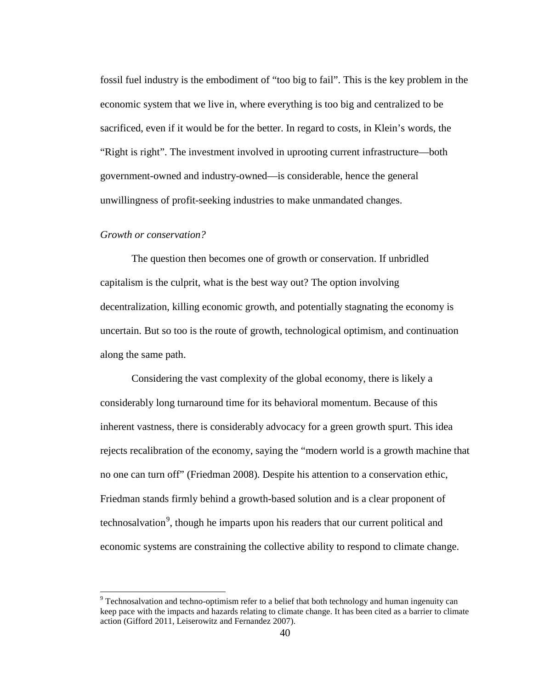fossil fuel industry is the embodiment of "too big to fail". This is the key problem in the economic system that we live in, where everything is too big and centralized to be sacrificed, even if it would be for the better. In regard to costs, in Klein's words, the "Right is right". The investment involved in uprooting current infrastructure—both government-owned and industry-owned—is considerable, hence the general unwillingness of profit-seeking industries to make unmandated changes.

#### *Growth or conservation?*

The question then becomes one of growth or conservation. If unbridled capitalism is the culprit, what is the best way out? The option involving decentralization, killing economic growth, and potentially stagnating the economy is uncertain. But so too is the route of growth, technological optimism, and continuation along the same path.

Considering the vast complexity of the global economy, there is likely a considerably long turnaround time for its behavioral momentum. Because of this inherent vastness, there is considerably advocacy for a green growth spurt. This idea rejects recalibration of the economy, saying the "modern world is a growth machine that no one can turn off" [\(Friedman 2008\)](#page-68-6). Despite his attention to a conservation ethic, Friedman stands firmly behind a growth-based solution and is a clear proponent of technosalvation<sup>[9](#page-45-0)</sup>, though he imparts upon his readers that our current political and economic systems are constraining the collective ability to respond to climate change.

<span id="page-45-0"></span><sup>&</sup>lt;sup>9</sup> Technosalvation and techno-optimism refer to a belief that both technology and human ingenuity can keep pace with the impacts and hazards relating to climate change. It has been cited as a barrier to climate action [\(Gifford 2011,](#page-68-9) [Leiserowitz and Fernandez 2007\)](#page-69-5).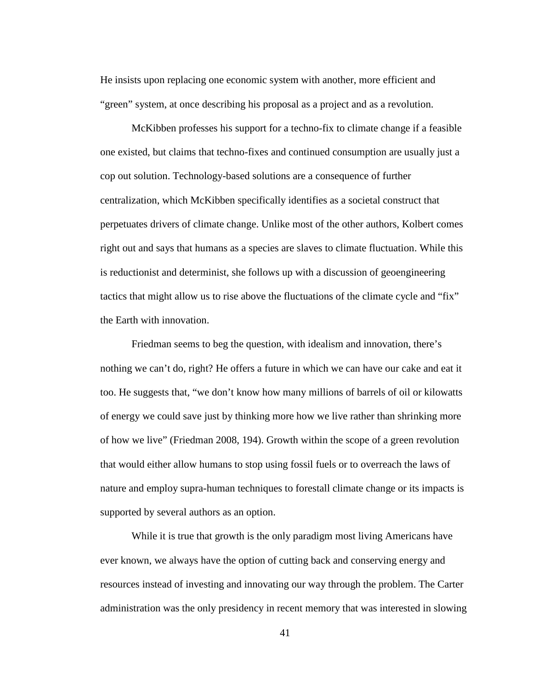He insists upon replacing one economic system with another, more efficient and "green" system, at once describing his proposal as a project and as a revolution.

McKibben professes his support for a techno-fix to climate change if a feasible one existed, but claims that techno-fixes and continued consumption are usually just a cop out solution. Technology-based solutions are a consequence of further centralization, which McKibben specifically identifies as a societal construct that perpetuates drivers of climate change. Unlike most of the other authors, Kolbert comes right out and says that humans as a species are slaves to climate fluctuation. While this is reductionist and determinist, she follows up with a discussion of geoengineering tactics that might allow us to rise above the fluctuations of the climate cycle and "fix" the Earth with innovation.

Friedman seems to beg the question, with idealism and innovation, there's nothing we can't do, right? He offers a future in which we can have our cake and eat it too. He suggests that, "we don't know how many millions of barrels of oil or kilowatts of energy we could save just by thinking more how we live rather than shrinking more of how we live" [\(Friedman 2008, 194\)](#page-68-6). Growth within the scope of a green revolution that would either allow humans to stop using fossil fuels or to overreach the laws of nature and employ supra-human techniques to forestall climate change or its impacts is supported by several authors as an option.

While it is true that growth is the only paradigm most living Americans have ever known, we always have the option of cutting back and conserving energy and resources instead of investing and innovating our way through the problem. The Carter administration was the only presidency in recent memory that was interested in slowing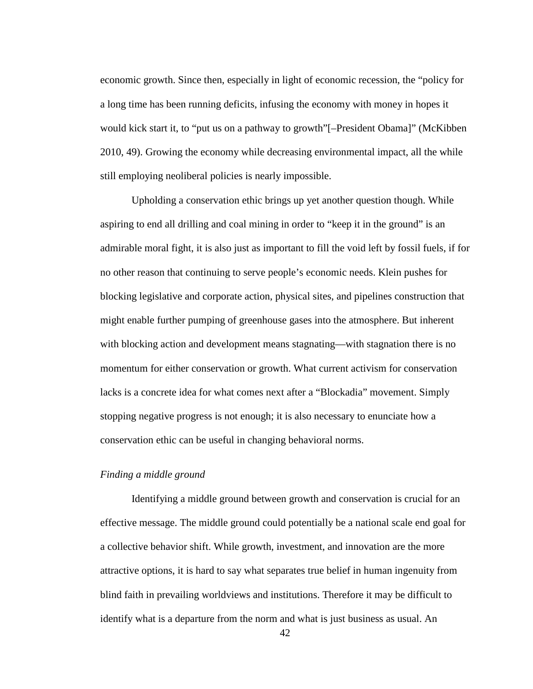economic growth. Since then, especially in light of economic recession, the "policy for a long time has been running deficits, infusing the economy with money in hopes it would kick start it, to "put us on a pathway to growth"[–President Obama]" [\(McKibben](#page-70-3)  [2010, 49\)](#page-70-3). Growing the economy while decreasing environmental impact, all the while still employing neoliberal policies is nearly impossible.

Upholding a conservation ethic brings up yet another question though. While aspiring to end all drilling and coal mining in order to "keep it in the ground" is an admirable moral fight, it is also just as important to fill the void left by fossil fuels, if for no other reason that continuing to serve people's economic needs. Klein pushes for blocking legislative and corporate action, physical sites, and pipelines construction that might enable further pumping of greenhouse gases into the atmosphere. But inherent with blocking action and development means stagnating—with stagnation there is no momentum for either conservation or growth. What current activism for conservation lacks is a concrete idea for what comes next after a "Blockadia" movement. Simply stopping negative progress is not enough; it is also necessary to enunciate how a conservation ethic can be useful in changing behavioral norms.

#### *Finding a middle ground*

Identifying a middle ground between growth and conservation is crucial for an effective message. The middle ground could potentially be a national scale end goal for a collective behavior shift. While growth, investment, and innovation are the more attractive options, it is hard to say what separates true belief in human ingenuity from blind faith in prevailing worldviews and institutions. Therefore it may be difficult to identify what is a departure from the norm and what is just business as usual. An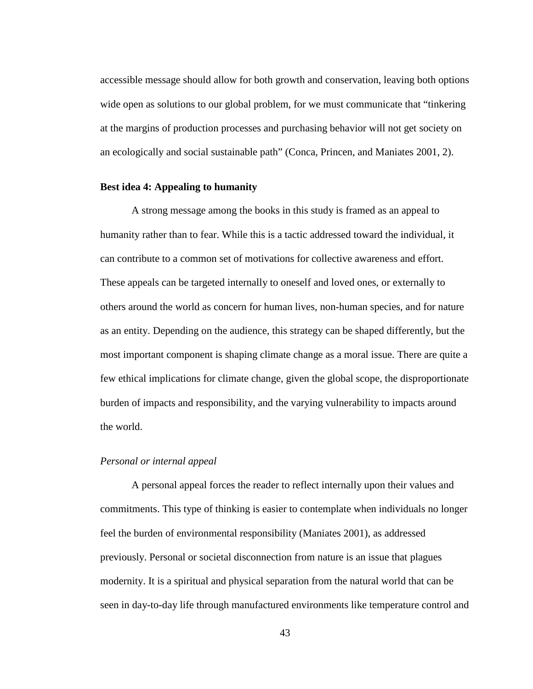accessible message should allow for both growth and conservation, leaving both options wide open as solutions to our global problem, for we must communicate that "tinkering at the margins of production processes and purchasing behavior will not get society on an ecologically and social sustainable path" [\(Conca, Princen, and Maniates 2001, 2\)](#page-68-10).

#### **Best idea 4: Appealing to humanity**

A strong message among the books in this study is framed as an appeal to humanity rather than to fear. While this is a tactic addressed toward the individual, it can contribute to a common set of motivations for collective awareness and effort. These appeals can be targeted internally to oneself and loved ones, or externally to others around the world as concern for human lives, non-human species, and for nature as an entity. Depending on the audience, this strategy can be shaped differently, but the most important component is shaping climate change as a moral issue. There are quite a few ethical implications for climate change, given the global scope, the disproportionate burden of impacts and responsibility, and the varying vulnerability to impacts around the world.

#### *Personal or internal appeal*

A personal appeal forces the reader to reflect internally upon their values and commitments. This type of thinking is easier to contemplate when individuals no longer feel the burden of environmental responsibility [\(Maniates 2001\)](#page-69-9), as addressed previously. Personal or societal disconnection from nature is an issue that plagues modernity. It is a spiritual and physical separation from the natural world that can be seen in day-to-day life through manufactured environments like temperature control and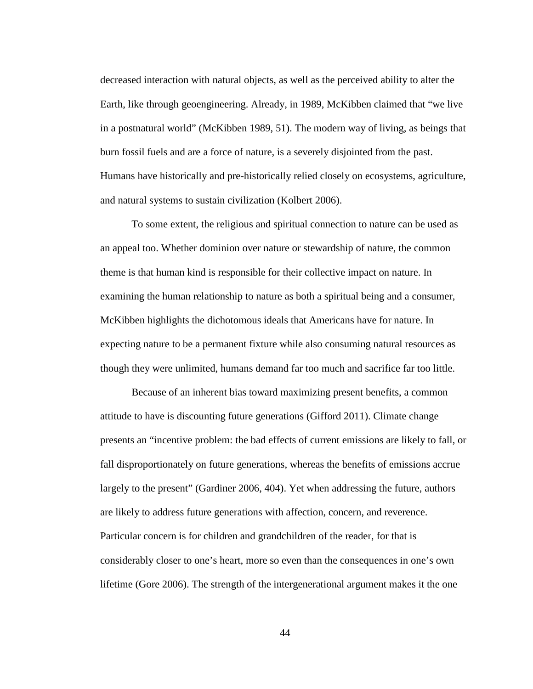decreased interaction with natural objects, as well as the perceived ability to alter the Earth, like through geoengineering. Already, in 1989, McKibben claimed that "we live in a postnatural world" [\(McKibben 1989, 51\)](#page-70-7). The modern way of living, as beings that burn fossil fuels and are a force of nature, is a severely disjointed from the past. Humans have historically and pre-historically relied closely on ecosystems, agriculture, and natural systems to sustain civilization [\(Kolbert 2006\)](#page-69-3).

To some extent, the religious and spiritual connection to nature can be used as an appeal too. Whether dominion over nature or stewardship of nature, the common theme is that human kind is responsible for their collective impact on nature. In examining the human relationship to nature as both a spiritual being and a consumer, McKibben highlights the dichotomous ideals that Americans have for nature. In expecting nature to be a permanent fixture while also consuming natural resources as though they were unlimited, humans demand far too much and sacrifice far too little.

Because of an inherent bias toward maximizing present benefits, a common attitude to have is discounting future generations [\(Gifford 2011\)](#page-68-9). Climate change presents an "incentive problem: the bad effects of current emissions are likely to fall, or fall disproportionately on future generations, whereas the benefits of emissions accrue largely to the present" [\(Gardiner 2006, 404\)](#page-68-11). Yet when addressing the future, authors are likely to address future generations with affection, concern, and reverence. Particular concern is for children and grandchildren of the reader, for that is considerably closer to one's heart, more so even than the consequences in one's own lifetime [\(Gore 2006\)](#page-69-8). The strength of the intergenerational argument makes it the one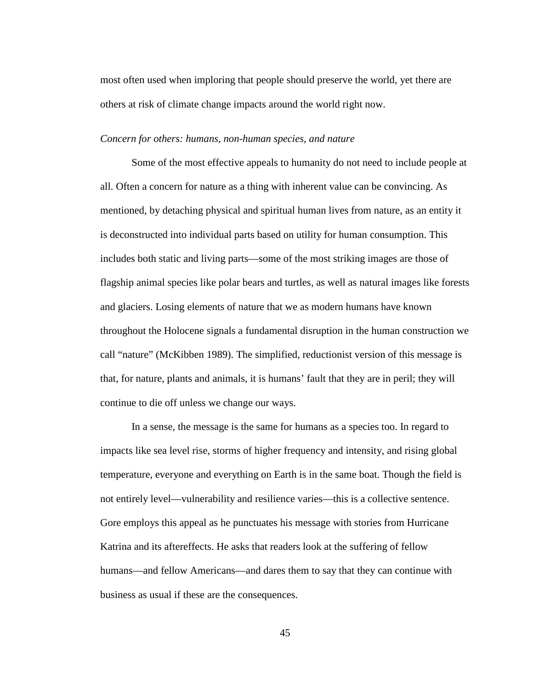most often used when imploring that people should preserve the world, yet there are others at risk of climate change impacts around the world right now.

#### *Concern for others: humans, non-human species, and nature*

Some of the most effective appeals to humanity do not need to include people at all. Often a concern for nature as a thing with inherent value can be convincing. As mentioned, by detaching physical and spiritual human lives from nature, as an entity it is deconstructed into individual parts based on utility for human consumption. This includes both static and living parts—some of the most striking images are those of flagship animal species like polar bears and turtles, as well as natural images like forests and glaciers. Losing elements of nature that we as modern humans have known throughout the Holocene signals a fundamental disruption in the human construction we call "nature" [\(McKibben 1989\)](#page-70-7). The simplified, reductionist version of this message is that, for nature, plants and animals, it is humans' fault that they are in peril; they will continue to die off unless we change our ways.

In a sense, the message is the same for humans as a species too. In regard to impacts like sea level rise, storms of higher frequency and intensity, and rising global temperature, everyone and everything on Earth is in the same boat. Though the field is not entirely level—vulnerability and resilience varies—this is a collective sentence. Gore employs this appeal as he punctuates his message with stories from Hurricane Katrina and its aftereffects. He asks that readers look at the suffering of fellow humans—and fellow Americans—and dares them to say that they can continue with business as usual if these are the consequences.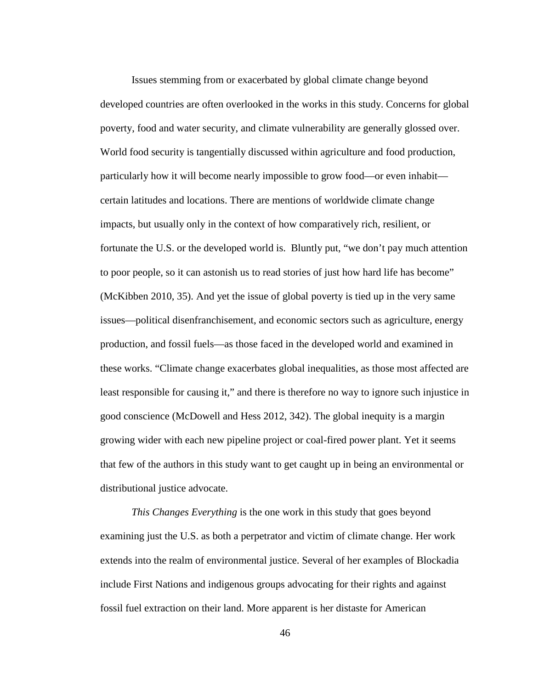Issues stemming from or exacerbated by global climate change beyond developed countries are often overlooked in the works in this study. Concerns for global poverty, food and water security, and climate vulnerability are generally glossed over. World food security is tangentially discussed within agriculture and food production, particularly how it will become nearly impossible to grow food—or even inhabit certain latitudes and locations. There are mentions of worldwide climate change impacts, but usually only in the context of how comparatively rich, resilient, or fortunate the U.S. or the developed world is. Bluntly put, "we don't pay much attention to poor people, so it can astonish us to read stories of just how hard life has become" [\(McKibben 2010, 35\)](#page-70-3). And yet the issue of global poverty is tied up in the very same issues—political disenfranchisement, and economic sectors such as agriculture, energy production, and fossil fuels—as those faced in the developed world and examined in these works. "Climate change exacerbates global inequalities, as those most affected are least responsible for causing it," and there is therefore no way to ignore such injustice in good conscience [\(McDowell and Hess 2012, 342\)](#page-70-9). The global inequity is a margin growing wider with each new pipeline project or coal-fired power plant. Yet it seems that few of the authors in this study want to get caught up in being an environmental or distributional justice advocate.

*This Changes Everything* is the one work in this study that goes beyond examining just the U.S. as both a perpetrator and victim of climate change. Her work extends into the realm of environmental justice. Several of her examples of Blockadia include First Nations and indigenous groups advocating for their rights and against fossil fuel extraction on their land. More apparent is her distaste for American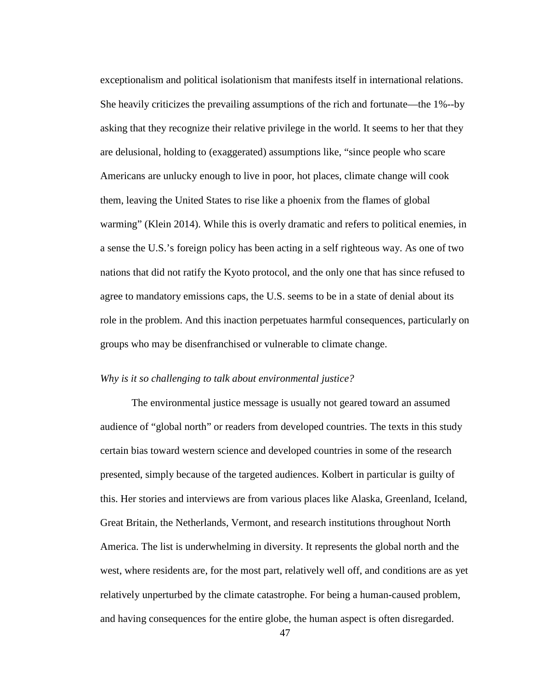exceptionalism and political isolationism that manifests itself in international relations. She heavily criticizes the prevailing assumptions of the rich and fortunate—the 1%--by asking that they recognize their relative privilege in the world. It seems to her that they are delusional, holding to (exaggerated) assumptions like, "since people who scare Americans are unlucky enough to live in poor, hot places, climate change will cook them, leaving the United States to rise like a phoenix from the flames of global warming" [\(Klein](#page-69-4) 2014). While this is overly dramatic and refers to political enemies, in a sense the U.S.'s foreign policy has been acting in a self righteous way. As one of two nations that did not ratify the Kyoto protocol, and the only one that has since refused to agree to mandatory emissions caps, the U.S. seems to be in a state of denial about its role in the problem. And this inaction perpetuates harmful consequences, particularly on groups who may be disenfranchised or vulnerable to climate change.

#### *Why is it so challenging to talk about environmental justice?*

The environmental justice message is usually not geared toward an assumed audience of "global north" or readers from developed countries. The texts in this study certain bias toward western science and developed countries in some of the research presented, simply because of the targeted audiences. Kolbert in particular is guilty of this. Her stories and interviews are from various places like Alaska, Greenland, Iceland, Great Britain, the Netherlands, Vermont, and research institutions throughout North America. The list is underwhelming in diversity. It represents the global north and the west, where residents are, for the most part, relatively well off, and conditions are as yet relatively unperturbed by the climate catastrophe. For being a human-caused problem, and having consequences for the entire globe, the human aspect is often disregarded.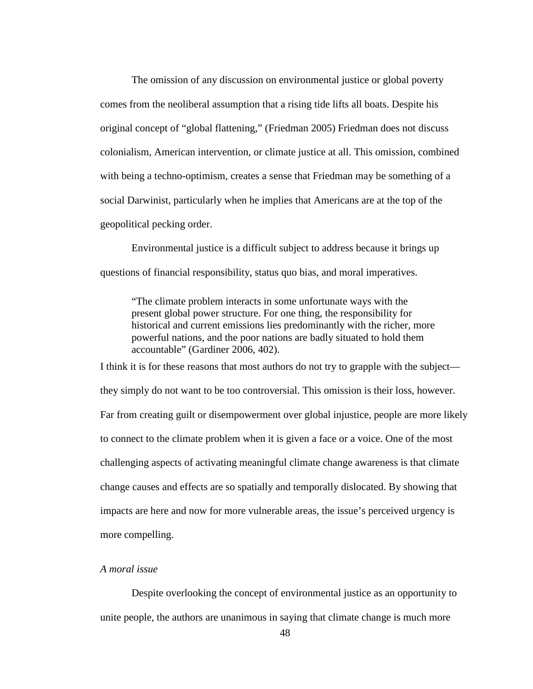The omission of any discussion on environmental justice or global poverty comes from the neoliberal assumption that a rising tide lifts all boats. Despite his original concept of "global flattening," [\(Friedman 2005\)](#page-68-12) Friedman does not discuss colonialism, American intervention, or climate justice at all. This omission, combined with being a techno-optimism, creates a sense that Friedman may be something of a social Darwinist, particularly when he implies that Americans are at the top of the geopolitical pecking order.

Environmental justice is a difficult subject to address because it brings up questions of financial responsibility, status quo bias, and moral imperatives.

"The climate problem interacts in some unfortunate ways with the present global power structure. For one thing, the responsibility for historical and current emissions lies predominantly with the richer, more powerful nations, and the poor nations are badly situated to hold them accountable" [\(Gardiner 2006, 402\)](#page-68-11).

I think it is for these reasons that most authors do not try to grapple with the subject they simply do not want to be too controversial. This omission is their loss, however. Far from creating guilt or disempowerment over global injustice, people are more likely to connect to the climate problem when it is given a face or a voice. One of the most challenging aspects of activating meaningful climate change awareness is that climate change causes and effects are so spatially and temporally dislocated. By showing that impacts are here and now for more vulnerable areas, the issue's perceived urgency is more compelling.

#### *A moral issue*

Despite overlooking the concept of environmental justice as an opportunity to unite people, the authors are unanimous in saying that climate change is much more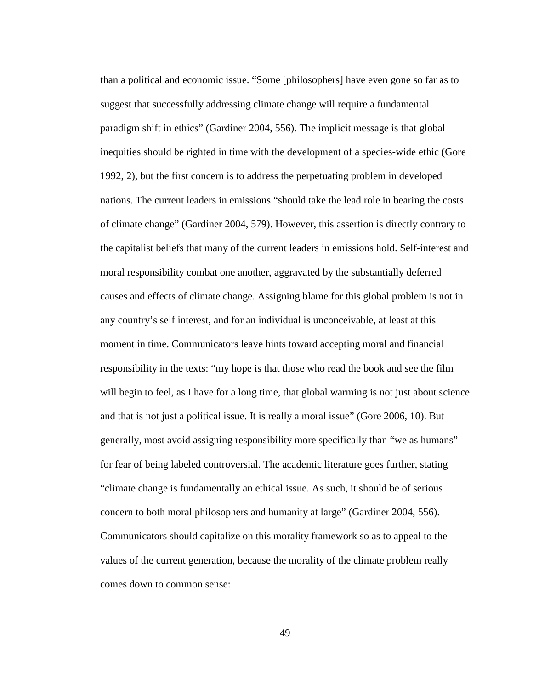than a political and economic issue. "Some [philosophers] have even gone so far as to suggest that successfully addressing climate change will require a fundamental paradigm shift in ethics" [\(Gardiner 2004, 556\)](#page-68-7). The implicit message is that global inequities should be righted in time with the development of a species-wide ethic [\(Gore](#page-68-8)  [1992, 2\)](#page-68-8), but the first concern is to address the perpetuating problem in developed nations. The current leaders in emissions "should take the lead role in bearing the costs of climate change" [\(Gardiner 2004, 579\)](#page-68-7). However, this assertion is directly contrary to the capitalist beliefs that many of the current leaders in emissions hold. Self-interest and moral responsibility combat one another, aggravated by the substantially deferred causes and effects of climate change. Assigning blame for this global problem is not in any country's self interest, and for an individual is unconceivable, at least at this moment in time. Communicators leave hints toward accepting moral and financial responsibility in the texts: "my hope is that those who read the book and see the film will begin to feel, as I have for a long time, that global warming is not just about science and that is not just a political issue. It is really a moral issue" [\(Gore 2006, 10\)](#page-69-8). But generally, most avoid assigning responsibility more specifically than "we as humans" for fear of being labeled controversial. The academic literature goes further, stating "climate change is fundamentally an ethical issue. As such, it should be of serious concern to both moral philosophers and humanity at large" [\(Gardiner 2004, 556\)](#page-68-7). Communicators should capitalize on this morality framework so as to appeal to the values of the current generation, because the morality of the climate problem really comes down to common sense: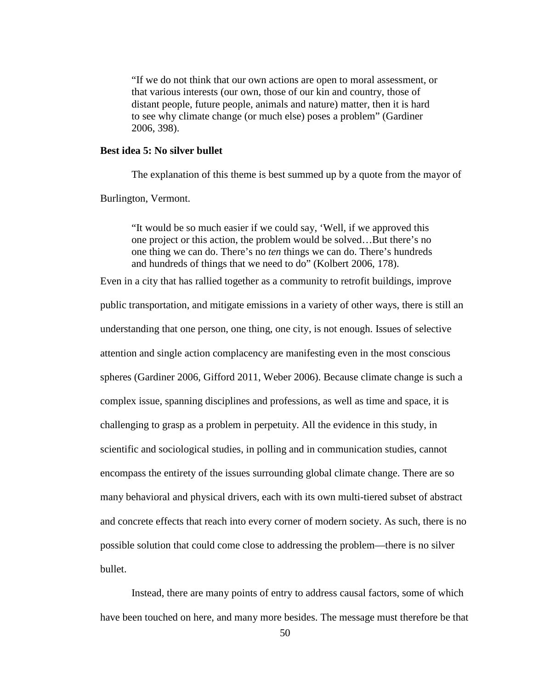"If we do not think that our own actions are open to moral assessment, or that various interests (our own, those of our kin and country, those of distant people, future people, animals and nature) matter, then it is hard to see why climate change (or much else) poses a problem" [\(Gardiner](#page-68-11)  [2006, 398\)](#page-68-11).

#### **Best idea 5: No silver bullet**

The explanation of this theme is best summed up by a quote from the mayor of

Burlington, Vermont.

"It would be so much easier if we could say, 'Well, if we approved this one project or this action, the problem would be solved…But there's no one thing we can do. There's no *ten* things we can do. There's hundreds and hundreds of things that we need to do" [\(Kolbert 2006, 178\)](#page-69-3).

Even in a city that has rallied together as a community to retrofit buildings, improve public transportation, and mitigate emissions in a variety of other ways, there is still an understanding that one person, one thing, one city, is not enough. Issues of selective attention and single action complacency are manifesting even in the most conscious spheres [\(Gardiner 2006,](#page-68-11) [Gifford 2011,](#page-68-9) [Weber 2006\)](#page-70-10). Because climate change is such a complex issue, spanning disciplines and professions, as well as time and space, it is challenging to grasp as a problem in perpetuity. All the evidence in this study, in scientific and sociological studies, in polling and in communication studies, cannot encompass the entirety of the issues surrounding global climate change. There are so many behavioral and physical drivers, each with its own multi-tiered subset of abstract and concrete effects that reach into every corner of modern society. As such, there is no possible solution that could come close to addressing the problem—there is no silver bullet.

Instead, there are many points of entry to address causal factors, some of which have been touched on here, and many more besides. The message must therefore be that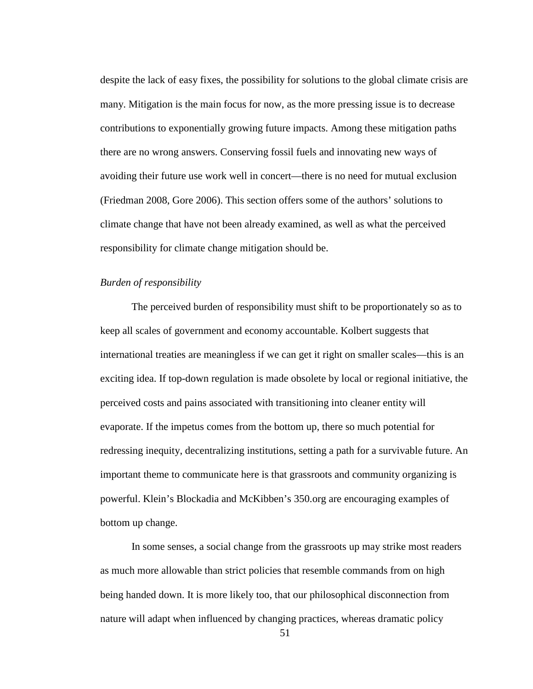despite the lack of easy fixes, the possibility for solutions to the global climate crisis are many. Mitigation is the main focus for now, as the more pressing issue is to decrease contributions to exponentially growing future impacts. Among these mitigation paths there are no wrong answers. Conserving fossil fuels and innovating new ways of avoiding their future use work well in concert—there is no need for mutual exclusion [\(Friedman 2008,](#page-68-6) [Gore 2006\)](#page-69-8). This section offers some of the authors' solutions to climate change that have not been already examined, as well as what the perceived responsibility for climate change mitigation should be.

#### *Burden of responsibility*

The perceived burden of responsibility must shift to be proportionately so as to keep all scales of government and economy accountable. Kolbert suggests that international treaties are meaningless if we can get it right on smaller scales—this is an exciting idea. If top-down regulation is made obsolete by local or regional initiative, the perceived costs and pains associated with transitioning into cleaner entity will evaporate. If the impetus comes from the bottom up, there so much potential for redressing inequity, decentralizing institutions, setting a path for a survivable future. An important theme to communicate here is that grassroots and community organizing is powerful. Klein's Blockadia and McKibben's 350.org are encouraging examples of bottom up change.

In some senses, a social change from the grassroots up may strike most readers as much more allowable than strict policies that resemble commands from on high being handed down. It is more likely too, that our philosophical disconnection from nature will adapt when influenced by changing practices, whereas dramatic policy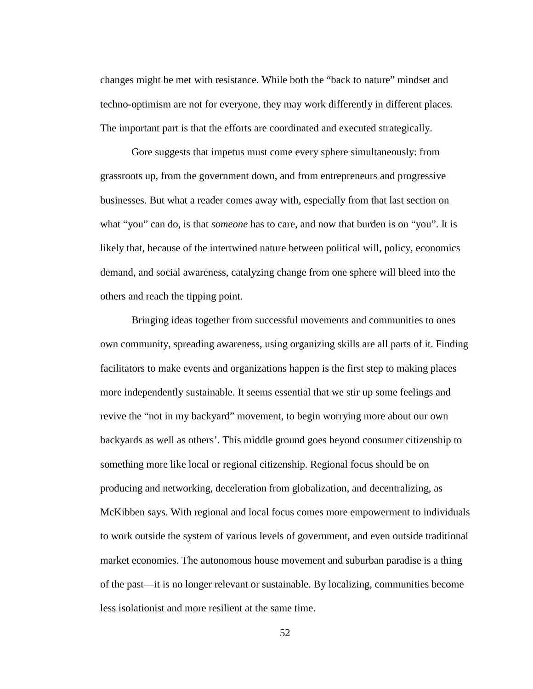changes might be met with resistance. While both the "back to nature" mindset and techno-optimism are not for everyone, they may work differently in different places. The important part is that the efforts are coordinated and executed strategically.

Gore suggests that impetus must come every sphere simultaneously: from grassroots up, from the government down, and from entrepreneurs and progressive businesses. But what a reader comes away with, especially from that last section on what "you" can do, is that *someone* has to care, and now that burden is on "you". It is likely that, because of the intertwined nature between political will, policy, economics demand, and social awareness, catalyzing change from one sphere will bleed into the others and reach the tipping point.

Bringing ideas together from successful movements and communities to ones own community, spreading awareness, using organizing skills are all parts of it. Finding facilitators to make events and organizations happen is the first step to making places more independently sustainable. It seems essential that we stir up some feelings and revive the "not in my backyard" movement, to begin worrying more about our own backyards as well as others'. This middle ground goes beyond consumer citizenship to something more like local or regional citizenship. Regional focus should be on producing and networking, deceleration from globalization, and decentralizing, as McKibben says. With regional and local focus comes more empowerment to individuals to work outside the system of various levels of government, and even outside traditional market economies. The autonomous house movement and suburban paradise is a thing of the past—it is no longer relevant or sustainable. By localizing, communities become less isolationist and more resilient at the same time.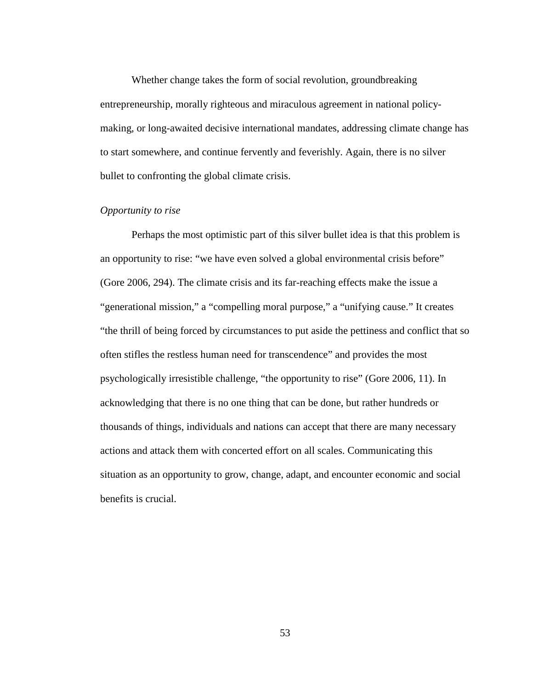Whether change takes the form of social revolution, groundbreaking entrepreneurship, morally righteous and miraculous agreement in national policymaking, or long-awaited decisive international mandates, addressing climate change has to start somewhere, and continue fervently and feverishly. Again, there is no silver bullet to confronting the global climate crisis.

#### *Opportunity to rise*

Perhaps the most optimistic part of this silver bullet idea is that this problem is an opportunity to rise: "we have even solved a global environmental crisis before" [\(Gore 2006, 294\)](#page-69-8). The climate crisis and its far-reaching effects make the issue a "generational mission," a "compelling moral purpose," a "unifying cause." It creates "the thrill of being forced by circumstances to put aside the pettiness and conflict that so often stifles the restless human need for transcendence" and provides the most psychologically irresistible challenge, "the opportunity to rise" [\(Gore 2006, 11\)](#page-69-8). In acknowledging that there is no one thing that can be done, but rather hundreds or thousands of things, individuals and nations can accept that there are many necessary actions and attack them with concerted effort on all scales. Communicating this situation as an opportunity to grow, change, adapt, and encounter economic and social benefits is crucial.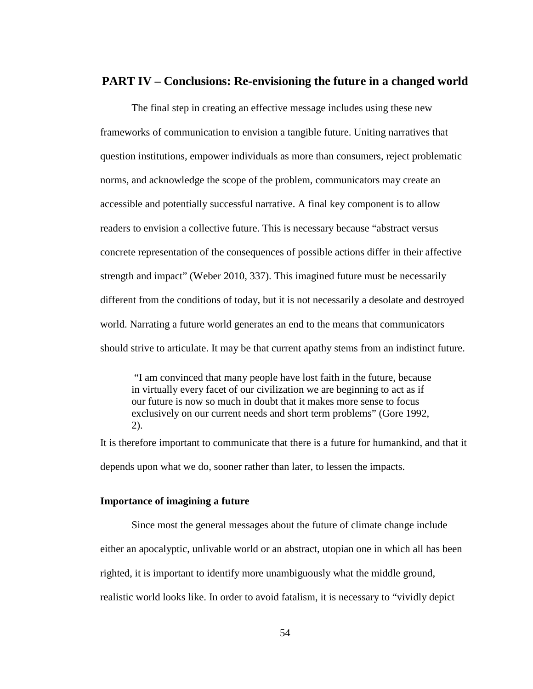#### **PART IV – Conclusions: Re-envisioning the future in a changed world**

The final step in creating an effective message includes using these new frameworks of communication to envision a tangible future. Uniting narratives that question institutions, empower individuals as more than consumers, reject problematic norms, and acknowledge the scope of the problem, communicators may create an accessible and potentially successful narrative. A final key component is to allow readers to envision a collective future. This is necessary because "abstract versus concrete representation of the consequences of possible actions differ in their affective strength and impact" [\(Weber 2010, 337\)](#page-70-11). This imagined future must be necessarily different from the conditions of today, but it is not necessarily a desolate and destroyed world. Narrating a future world generates an end to the means that communicators should strive to articulate. It may be that current apathy stems from an indistinct future.

"I am convinced that many people have lost faith in the future, because in virtually every facet of our civilization we are beginning to act as if our future is now so much in doubt that it makes more sense to focus exclusively on our current needs and short term problems" [\(Gore 1992,](#page-68-8)  [2\)](#page-68-8).

It is therefore important to communicate that there is a future for humankind, and that it depends upon what we do, sooner rather than later, to lessen the impacts.

#### **Importance of imagining a future**

Since most the general messages about the future of climate change include either an apocalyptic, unlivable world or an abstract, utopian one in which all has been righted, it is important to identify more unambiguously what the middle ground, realistic world looks like. In order to avoid fatalism, it is necessary to "vividly depict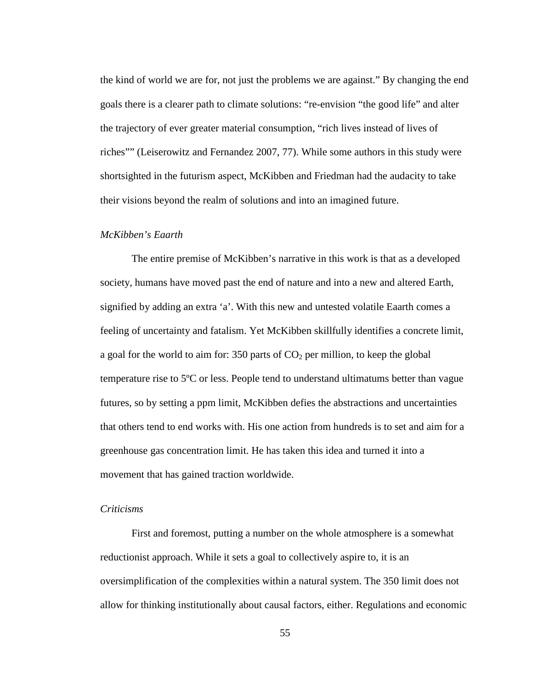the kind of world we are for, not just the problems we are against." By changing the end goals there is a clearer path to climate solutions: "re-envision "the good life" and alter the trajectory of ever greater material consumption, "rich lives instead of lives of riches"" [\(Leiserowitz and Fernandez 2007, 77\)](#page-69-5). While some authors in this study were shortsighted in the futurism aspect, McKibben and Friedman had the audacity to take their visions beyond the realm of solutions and into an imagined future.

#### *McKibben's Eaarth*

The entire premise of McKibben's narrative in this work is that as a developed society, humans have moved past the end of nature and into a new and altered Earth, signified by adding an extra 'a'. With this new and untested volatile Eaarth comes a feeling of uncertainty and fatalism. Yet McKibben skillfully identifies a concrete limit, a goal for the world to aim for:  $350$  parts of  $CO<sub>2</sub>$  per million, to keep the global temperature rise to 5ºC or less. People tend to understand ultimatums better than vague futures, so by setting a ppm limit, McKibben defies the abstractions and uncertainties that others tend to end works with. His one action from hundreds is to set and aim for a greenhouse gas concentration limit. He has taken this idea and turned it into a movement that has gained traction worldwide.

#### *Criticisms*

First and foremost, putting a number on the whole atmosphere is a somewhat reductionist approach. While it sets a goal to collectively aspire to, it is an oversimplification of the complexities within a natural system. The 350 limit does not allow for thinking institutionally about causal factors, either. Regulations and economic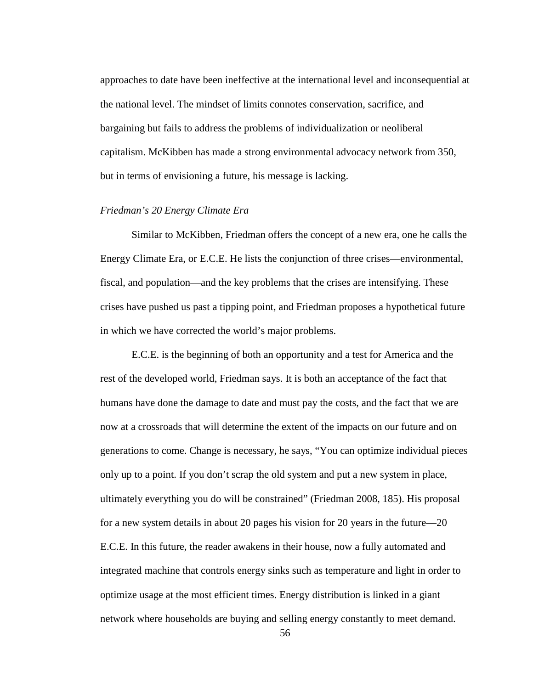approaches to date have been ineffective at the international level and inconsequential at the national level. The mindset of limits connotes conservation, sacrifice, and bargaining but fails to address the problems of individualization or neoliberal capitalism. McKibben has made a strong environmental advocacy network from 350, but in terms of envisioning a future, his message is lacking.

#### *Friedman's 20 Energy Climate Era*

Similar to McKibben, Friedman offers the concept of a new era, one he calls the Energy Climate Era, or E.C.E. He lists the conjunction of three crises—environmental, fiscal, and population—and the key problems that the crises are intensifying. These crises have pushed us past a tipping point, and Friedman proposes a hypothetical future in which we have corrected the world's major problems.

E.C.E. is the beginning of both an opportunity and a test for America and the rest of the developed world, Friedman says. It is both an acceptance of the fact that humans have done the damage to date and must pay the costs, and the fact that we are now at a crossroads that will determine the extent of the impacts on our future and on generations to come. Change is necessary, he says, "You can optimize individual pieces only up to a point. If you don't scrap the old system and put a new system in place, ultimately everything you do will be constrained" [\(Friedman 2008, 185\)](#page-68-6). His proposal for a new system details in about 20 pages his vision for 20 years in the future—20 E.C.E. In this future, the reader awakens in their house, now a fully automated and integrated machine that controls energy sinks such as temperature and light in order to optimize usage at the most efficient times. Energy distribution is linked in a giant network where households are buying and selling energy constantly to meet demand.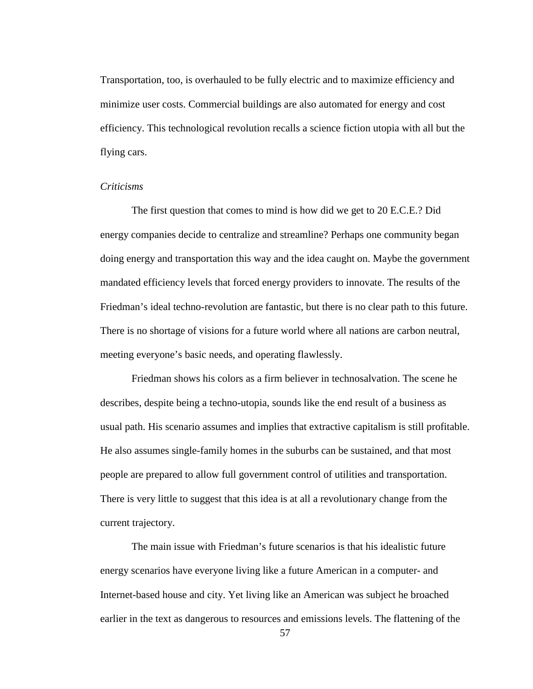Transportation, too, is overhauled to be fully electric and to maximize efficiency and minimize user costs. Commercial buildings are also automated for energy and cost efficiency. This technological revolution recalls a science fiction utopia with all but the flying cars.

#### *Criticisms*

The first question that comes to mind is how did we get to 20 E.C.E.? Did energy companies decide to centralize and streamline? Perhaps one community began doing energy and transportation this way and the idea caught on. Maybe the government mandated efficiency levels that forced energy providers to innovate. The results of the Friedman's ideal techno-revolution are fantastic, but there is no clear path to this future. There is no shortage of visions for a future world where all nations are carbon neutral, meeting everyone's basic needs, and operating flawlessly.

Friedman shows his colors as a firm believer in technosalvation. The scene he describes, despite being a techno-utopia, sounds like the end result of a business as usual path. His scenario assumes and implies that extractive capitalism is still profitable. He also assumes single-family homes in the suburbs can be sustained, and that most people are prepared to allow full government control of utilities and transportation. There is very little to suggest that this idea is at all a revolutionary change from the current trajectory.

The main issue with Friedman's future scenarios is that his idealistic future energy scenarios have everyone living like a future American in a computer- and Internet-based house and city. Yet living like an American was subject he broached earlier in the text as dangerous to resources and emissions levels. The flattening of the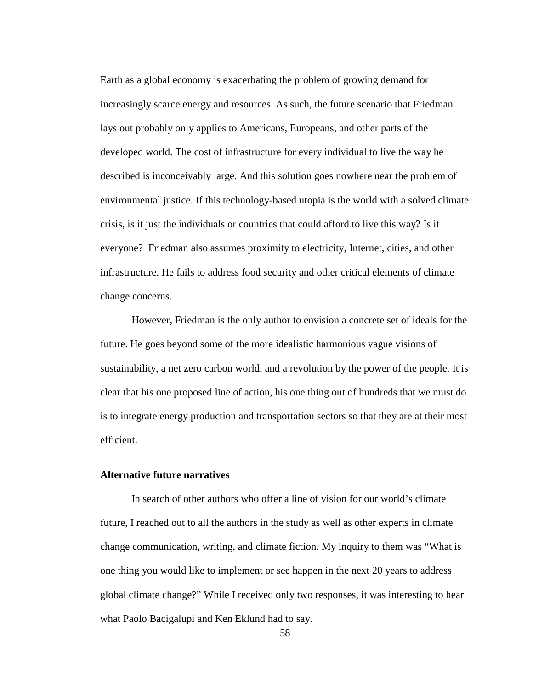Earth as a global economy is exacerbating the problem of growing demand for increasingly scarce energy and resources. As such, the future scenario that Friedman lays out probably only applies to Americans, Europeans, and other parts of the developed world. The cost of infrastructure for every individual to live the way he described is inconceivably large. And this solution goes nowhere near the problem of environmental justice. If this technology-based utopia is the world with a solved climate crisis, is it just the individuals or countries that could afford to live this way? Is it everyone? Friedman also assumes proximity to electricity, Internet, cities, and other infrastructure. He fails to address food security and other critical elements of climate change concerns.

However, Friedman is the only author to envision a concrete set of ideals for the future. He goes beyond some of the more idealistic harmonious vague visions of sustainability, a net zero carbon world, and a revolution by the power of the people. It is clear that his one proposed line of action, his one thing out of hundreds that we must do is to integrate energy production and transportation sectors so that they are at their most efficient.

#### **Alternative future narratives**

In search of other authors who offer a line of vision for our world's climate future, I reached out to all the authors in the study as well as other experts in climate change communication, writing, and climate fiction. My inquiry to them was "What is one thing you would like to implement or see happen in the next 20 years to address global climate change?" While I received only two responses, it was interesting to hear what Paolo Bacigalupi and Ken Eklund had to say.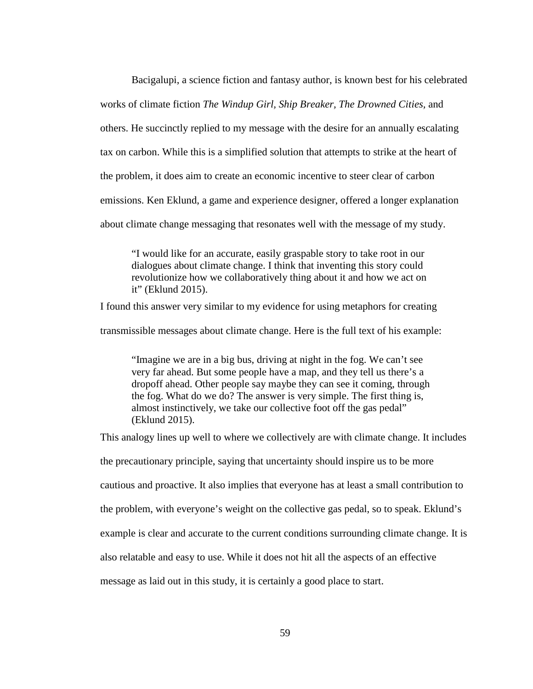Bacigalupi, a science fiction and fantasy author, is known best for his celebrated works of climate fiction *The Windup Girl, Ship Breaker, The Drowned Cities,* and others. He succinctly replied to my message with the desire for an annually escalating tax on carbon. While this is a simplified solution that attempts to strike at the heart of the problem, it does aim to create an economic incentive to steer clear of carbon emissions. Ken Eklund, a game and experience designer, offered a longer explanation about climate change messaging that resonates well with the message of my study.

"I would like for an accurate, easily graspable story to take root in our dialogues about climate change. I think that inventing this story could revolutionize how we collaboratively thing about it and how we act on it" [\(Eklund 2015\)](#page-68-13).

I found this answer very similar to my evidence for using metaphors for creating

transmissible messages about climate change. Here is the full text of his example:

"Imagine we are in a big bus, driving at night in the fog. We can't see very far ahead. But some people have a map, and they tell us there's a dropoff ahead. Other people say maybe they can see it coming, through the fog. What do we do? The answer is very simple. The first thing is, almost instinctively, we take our collective foot off the gas pedal" [\(Eklund 2015\)](#page-68-13).

This analogy lines up well to where we collectively are with climate change. It includes

the precautionary principle, saying that uncertainty should inspire us to be more

cautious and proactive. It also implies that everyone has at least a small contribution to

the problem, with everyone's weight on the collective gas pedal, so to speak. Eklund's

example is clear and accurate to the current conditions surrounding climate change. It is

also relatable and easy to use. While it does not hit all the aspects of an effective

message as laid out in this study, it is certainly a good place to start.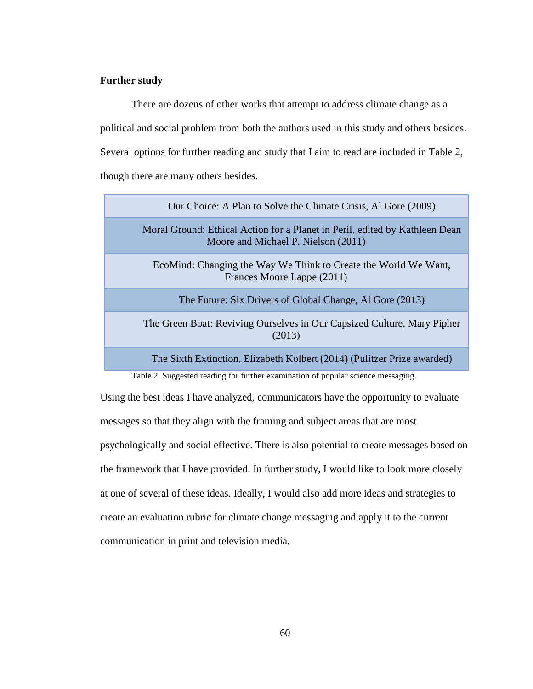#### **Further study**

There are dozens of other works that attempt to address climate change as a political and social problem from both the authors used in this study and others besides. Several options for further reading and study that I aim to read are included in Table 2, though there are many others besides.

| Our Choice: A Plan to Solve the Climate Crisis, Al Gore (2009)                                                     |
|--------------------------------------------------------------------------------------------------------------------|
| Moral Ground: Ethical Action for a Planet in Peril, edited by Kathleen Dean<br>Moore and Michael P. Nielson (2011) |
| EcoMind: Changing the Way We Think to Create the World We Want,<br>Frances Moore Lappe (2011)                      |
| The Future: Six Drivers of Global Change, Al Gore (2013)                                                           |
| The Green Boat: Reviving Ourselves in Our Capsized Culture, Mary Pipher<br>(2013)                                  |
| The Sixth Extinction, Elizabeth Kolbert (2014) (Pulitzer Prize awarded)                                            |

Table 2. Suggested reading for further examination of popular science messaging.

Using the best ideas I have analyzed, communicators have the opportunity to evaluate messages so that they align with the framing and subject areas that are most psychologically and social effective. There is also potential to create messages based on the framework that I have provided. In further study, I would like to look more closely at one of several of these ideas. Ideally, I would also add more ideas and strategies to create an evaluation rubric for climate change messaging and apply it to the current communication in print and television media.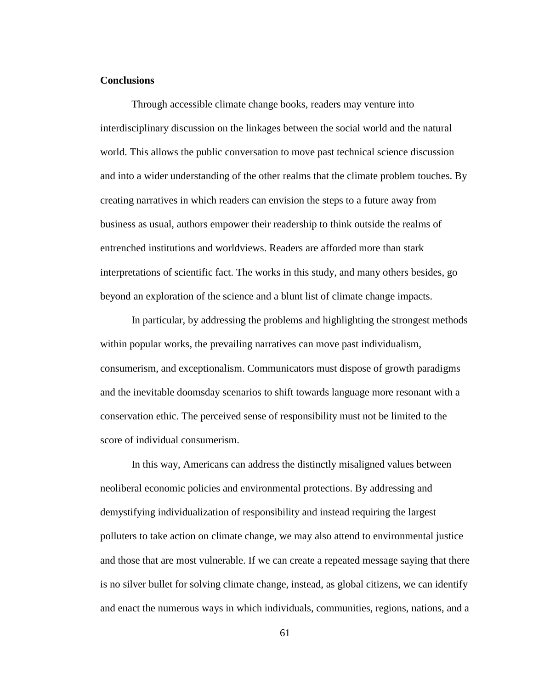#### **Conclusions**

Through accessible climate change books, readers may venture into interdisciplinary discussion on the linkages between the social world and the natural world. This allows the public conversation to move past technical science discussion and into a wider understanding of the other realms that the climate problem touches. By creating narratives in which readers can envision the steps to a future away from business as usual, authors empower their readership to think outside the realms of entrenched institutions and worldviews. Readers are afforded more than stark interpretations of scientific fact. The works in this study, and many others besides, go beyond an exploration of the science and a blunt list of climate change impacts.

In particular, by addressing the problems and highlighting the strongest methods within popular works, the prevailing narratives can move past individualism, consumerism, and exceptionalism. Communicators must dispose of growth paradigms and the inevitable doomsday scenarios to shift towards language more resonant with a conservation ethic. The perceived sense of responsibility must not be limited to the score of individual consumerism.

In this way, Americans can address the distinctly misaligned values between neoliberal economic policies and environmental protections. By addressing and demystifying individualization of responsibility and instead requiring the largest polluters to take action on climate change, we may also attend to environmental justice and those that are most vulnerable. If we can create a repeated message saying that there is no silver bullet for solving climate change, instead, as global citizens, we can identify and enact the numerous ways in which individuals, communities, regions, nations, and a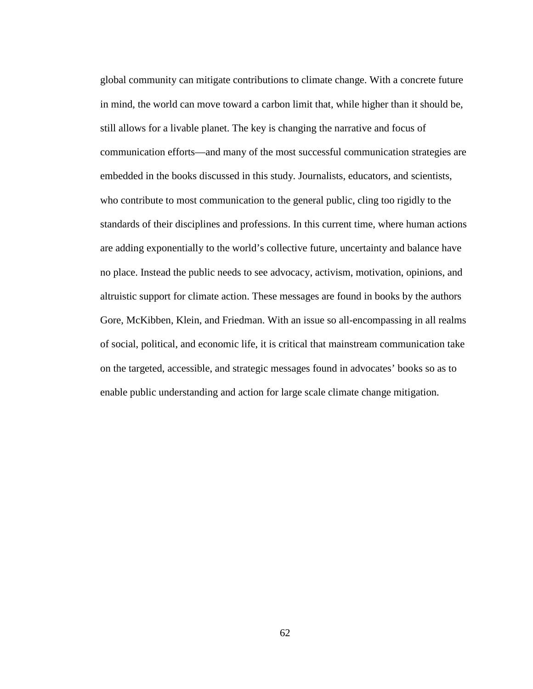global community can mitigate contributions to climate change. With a concrete future in mind, the world can move toward a carbon limit that, while higher than it should be, still allows for a livable planet. The key is changing the narrative and focus of communication efforts—and many of the most successful communication strategies are embedded in the books discussed in this study. Journalists, educators, and scientists, who contribute to most communication to the general public, cling too rigidly to the standards of their disciplines and professions. In this current time, where human actions are adding exponentially to the world's collective future, uncertainty and balance have no place. Instead the public needs to see advocacy, activism, motivation, opinions, and altruistic support for climate action. These messages are found in books by the authors Gore, McKibben, Klein, and Friedman. With an issue so all-encompassing in all realms of social, political, and economic life, it is critical that mainstream communication take on the targeted, accessible, and strategic messages found in advocates' books so as to enable public understanding and action for large scale climate change mitigation.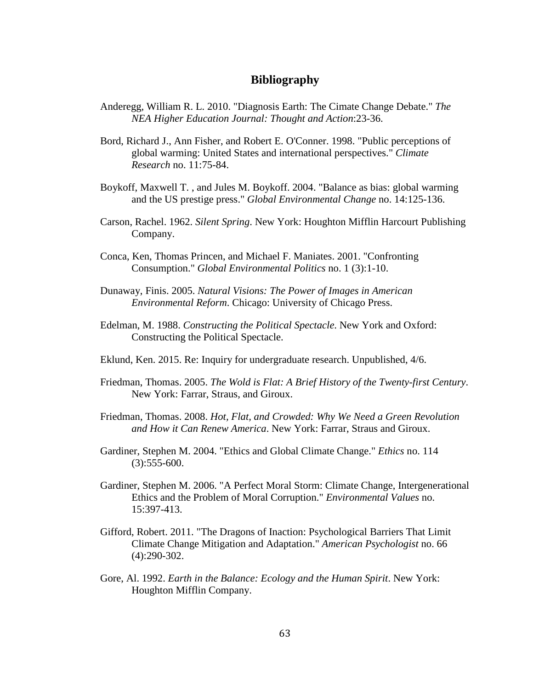#### **Bibliography**

- <span id="page-68-1"></span>Anderegg, William R. L. 2010. "Diagnosis Earth: The Cimate Change Debate." *The NEA Higher Education Journal: Thought and Action*:23-36.
- <span id="page-68-2"></span>Bord, Richard J., Ann Fisher, and Robert E. O'Conner. 1998. "Public perceptions of global warming: United States and international perspectives." *Climate Research* no. 11:75-84.
- <span id="page-68-0"></span>Boykoff, Maxwell T. , and Jules M. Boykoff. 2004. "Balance as bias: global warming and the US prestige press." *Global Environmental Change* no. 14:125-136.
- <span id="page-68-3"></span>Carson, Rachel. 1962. *Silent Spring*. New York: Houghton Mifflin Harcourt Publishing Company.
- <span id="page-68-10"></span>Conca, Ken, Thomas Princen, and Michael F. Maniates. 2001. "Confronting Consumption." *Global Environmental Politics* no. 1 (3):1-10.
- <span id="page-68-5"></span>Dunaway, Finis. 2005. *Natural Visions: The Power of Images in American Environmental Reform*. Chicago: University of Chicago Press.
- <span id="page-68-4"></span>Edelman, M. 1988. *Constructing the Political Spectacle*. New York and Oxford: Constructing the Political Spectacle.
- <span id="page-68-13"></span>Eklund, Ken. 2015. Re: Inquiry for undergraduate research. Unpublished, 4/6.
- <span id="page-68-12"></span>Friedman, Thomas. 2005. *The Wold is Flat: A Brief History of the Twenty-first Century*. New York: Farrar, Straus, and Giroux.
- <span id="page-68-6"></span>Friedman, Thomas. 2008. *Hot, Flat, and Crowded: Why We Need a Green Revolution and How it Can Renew America*. New York: Farrar, Straus and Giroux.
- <span id="page-68-7"></span>Gardiner, Stephen M. 2004. "Ethics and Global Climate Change." *Ethics* no. 114 (3):555-600.
- <span id="page-68-11"></span>Gardiner, Stephen M. 2006. "A Perfect Moral Storm: Climate Change, Intergenerational Ethics and the Problem of Moral Corruption." *Environmental Values* no. 15:397-413.
- <span id="page-68-9"></span>Gifford, Robert. 2011. "The Dragons of Inaction: Psychological Barriers That Limit Climate Change Mitigation and Adaptation." *American Psychologist* no. 66 (4):290-302.
- <span id="page-68-8"></span>Gore, Al. 1992. *Earth in the Balance: Ecology and the Human Spirit*. New York: Houghton Mifflin Company.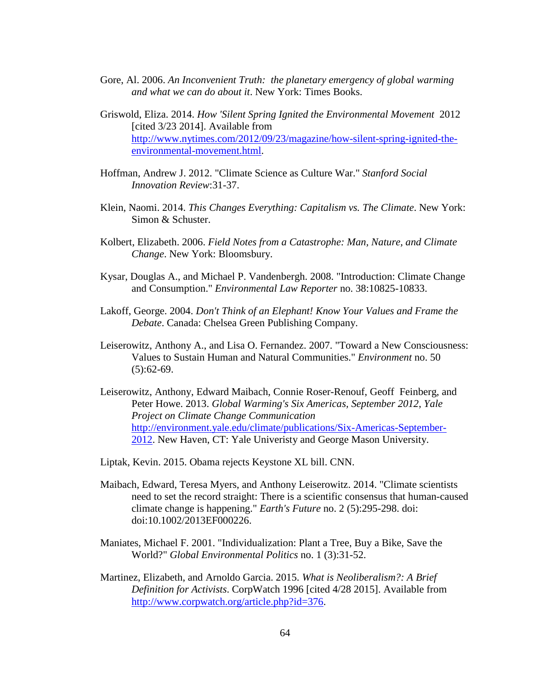- <span id="page-69-8"></span>Gore, Al. 2006. *An Inconvenient Truth: the planetary emergency of global warming and what we can do about it*. New York: Times Books.
- <span id="page-69-2"></span>Griswold, Eliza. 2014. *How 'Silent Spring Ignited the Environmental Movement* 2012 [cited 3/23 2014]. Available from [http://www.nytimes.com/2012/09/23/magazine/how-silent-spring-ignited-the](http://www.nytimes.com/2012/09/23/magazine/how-silent-spring-ignited-the-environmental-movement.html)[environmental-movement.html.](http://www.nytimes.com/2012/09/23/magazine/how-silent-spring-ignited-the-environmental-movement.html)
- <span id="page-69-6"></span>Hoffman, Andrew J. 2012. "Climate Science as Culture War." *Stanford Social Innovation Review*:31-37.
- <span id="page-69-4"></span>Klein, Naomi. 2014. *This Changes Everything: Capitalism vs. The Climate*. New York: Simon & Schuster.
- <span id="page-69-3"></span>Kolbert, Elizabeth. 2006. *Field Notes from a Catastrophe: Man, Nature, and Climate Change*. New York: Bloomsbury.
- <span id="page-69-12"></span>Kysar, Douglas A., and Michael P. Vandenbergh. 2008. "Introduction: Climate Change and Consumption." *Environmental Law Reporter* no. 38:10825-10833.
- <span id="page-69-7"></span>Lakoff, George. 2004. *Don't Think of an Elephant! Know Your Values and Frame the Debate*. Canada: Chelsea Green Publishing Company.
- <span id="page-69-5"></span>Leiserowitz, Anthony A., and Lisa O. Fernandez. 2007. "Toward a New Consciousness: Values to Sustain Human and Natural Communities." *Environment* no. 50  $(5):62-69.$
- <span id="page-69-1"></span>Leiserowitz, Anthony, Edward Maibach, Connie Roser-Renouf, Geoff Feinberg, and Peter Howe. 2013. *Global Warming's Six Americas, September 2012*, *Yale Project on Climate Change Communication*  [http://environment.yale.edu/climate/publications/Six-Americas-September-](http://environment.yale.edu/climate/publications/Six-Americas-September-2012)[2012.](http://environment.yale.edu/climate/publications/Six-Americas-September-2012) New Haven, CT: Yale Univeristy and George Mason University.
- <span id="page-69-10"></span>Liptak, Kevin. 2015. Obama rejects Keystone XL bill. CNN.
- <span id="page-69-0"></span>Maibach, Edward, Teresa Myers, and Anthony Leiserowitz. 2014. "Climate scientists need to set the record straight: There is a scientific consensus that human-caused climate change is happening." *Earth's Future* no. 2 (5):295-298. doi: doi:10.1002/2013EF000226.
- <span id="page-69-9"></span>Maniates, Michael F. 2001. "Individualization: Plant a Tree, Buy a Bike, Save the World?" *Global Environmental Politics* no. 1 (3):31-52.
- <span id="page-69-11"></span>Martinez, Elizabeth, and Arnoldo Garcia. 2015. *What is Neoliberalism?: A Brief Definition for Activists*. CorpWatch 1996 [cited 4/28 2015]. Available from [http://www.corpwatch.org/article.php?id=376.](http://www.corpwatch.org/article.php?id=376)